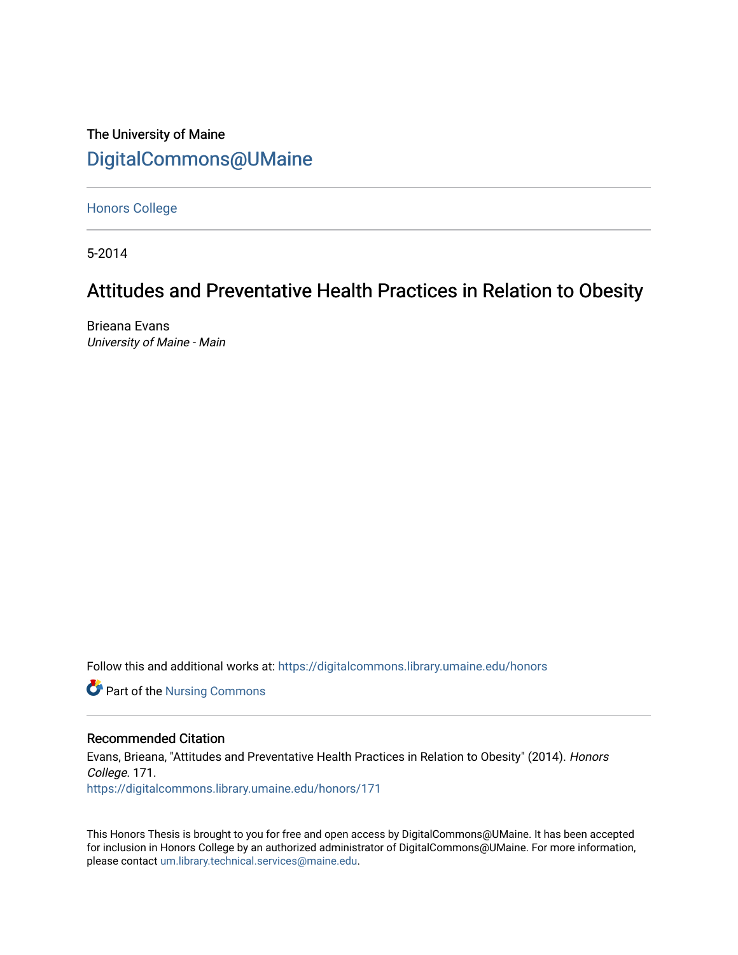## The University of Maine [DigitalCommons@UMaine](https://digitalcommons.library.umaine.edu/)

[Honors College](https://digitalcommons.library.umaine.edu/honors)

5-2014

# Attitudes and Preventative Health Practices in Relation to Obesity

Brieana Evans University of Maine - Main

Follow this and additional works at: [https://digitalcommons.library.umaine.edu/honors](https://digitalcommons.library.umaine.edu/honors?utm_source=digitalcommons.library.umaine.edu%2Fhonors%2F171&utm_medium=PDF&utm_campaign=PDFCoverPages) 

**Part of the Nursing Commons** 

## Recommended Citation

Evans, Brieana, "Attitudes and Preventative Health Practices in Relation to Obesity" (2014). Honors College. 171. [https://digitalcommons.library.umaine.edu/honors/171](https://digitalcommons.library.umaine.edu/honors/171?utm_source=digitalcommons.library.umaine.edu%2Fhonors%2F171&utm_medium=PDF&utm_campaign=PDFCoverPages) 

This Honors Thesis is brought to you for free and open access by DigitalCommons@UMaine. It has been accepted for inclusion in Honors College by an authorized administrator of DigitalCommons@UMaine. For more information, please contact [um.library.technical.services@maine.edu.](mailto:um.library.technical.services@maine.edu)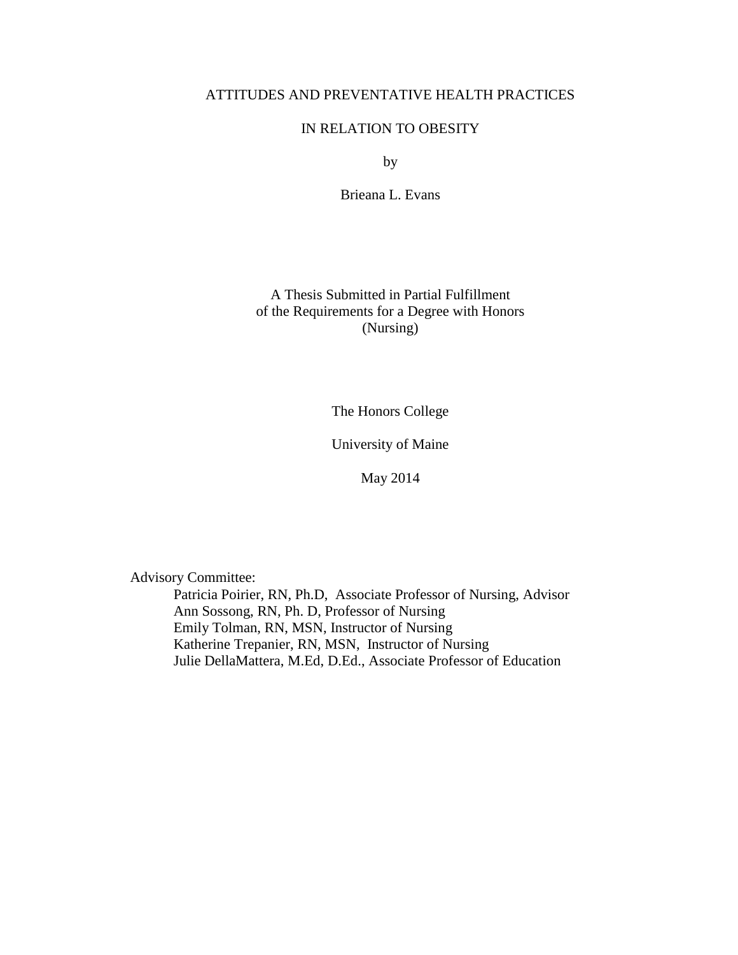## ATTITUDES AND PREVENTATIVE HEALTH PRACTICES

## IN RELATION TO OBESITY

by

Brieana L. Evans

A Thesis Submitted in Partial Fulfillment of the Requirements for a Degree with Honors (Nursing)

The Honors College

University of Maine

May 2014

Advisory Committee:

Patricia Poirier, RN, Ph.D, Associate Professor of Nursing, Advisor Ann Sossong, RN, Ph. D, Professor of Nursing Emily Tolman, RN, MSN, Instructor of Nursing Katherine Trepanier, RN, MSN, Instructor of Nursing Julie DellaMattera, M.Ed, D.Ed., Associate Professor of Education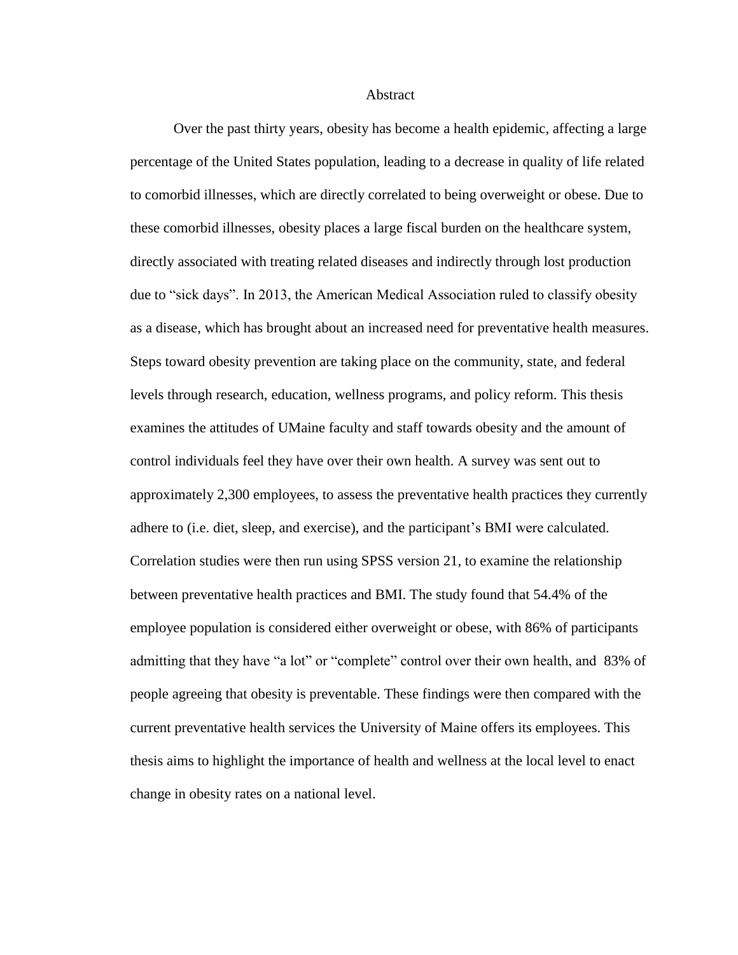Abstract

Over the past thirty years, obesity has become a health epidemic, affecting a large percentage of the United States population, leading to a decrease in quality of life related to comorbid illnesses, which are directly correlated to being overweight or obese. Due to these comorbid illnesses, obesity places a large fiscal burden on the healthcare system, directly associated with treating related diseases and indirectly through lost production due to "sick days". In 2013, the American Medical Association ruled to classify obesity as a disease, which has brought about an increased need for preventative health measures. Steps toward obesity prevention are taking place on the community, state, and federal levels through research, education, wellness programs, and policy reform. This thesis examines the attitudes of UMaine faculty and staff towards obesity and the amount of control individuals feel they have over their own health. A survey was sent out to approximately 2,300 employees, to assess the preventative health practices they currently adhere to (i.e. diet, sleep, and exercise), and the participant's BMI were calculated. Correlation studies were then run using SPSS version 21, to examine the relationship between preventative health practices and BMI. The study found that 54.4% of the employee population is considered either overweight or obese, with 86% of participants admitting that they have "a lot" or "complete" control over their own health, and 83% of people agreeing that obesity is preventable. These findings were then compared with the current preventative health services the University of Maine offers its employees. This thesis aims to highlight the importance of health and wellness at the local level to enact change in obesity rates on a national level.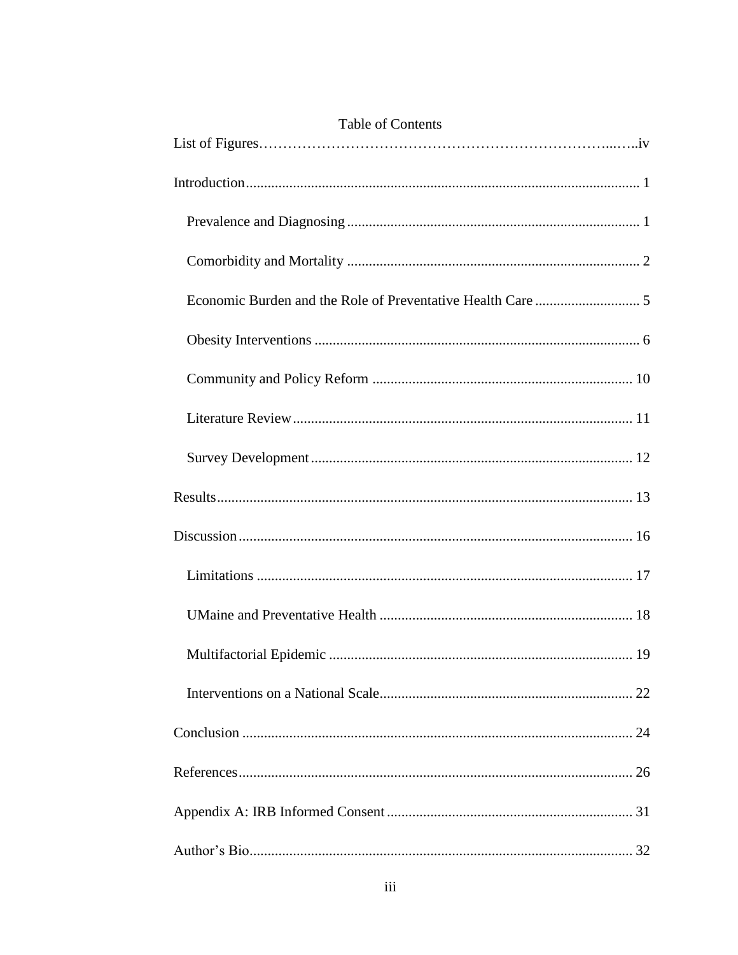| <b>Table of Contents</b> |
|--------------------------|
|                          |
|                          |
|                          |
|                          |
|                          |
|                          |
|                          |
|                          |
|                          |
|                          |
|                          |
|                          |
|                          |
|                          |
|                          |
|                          |
|                          |
|                          |
|                          |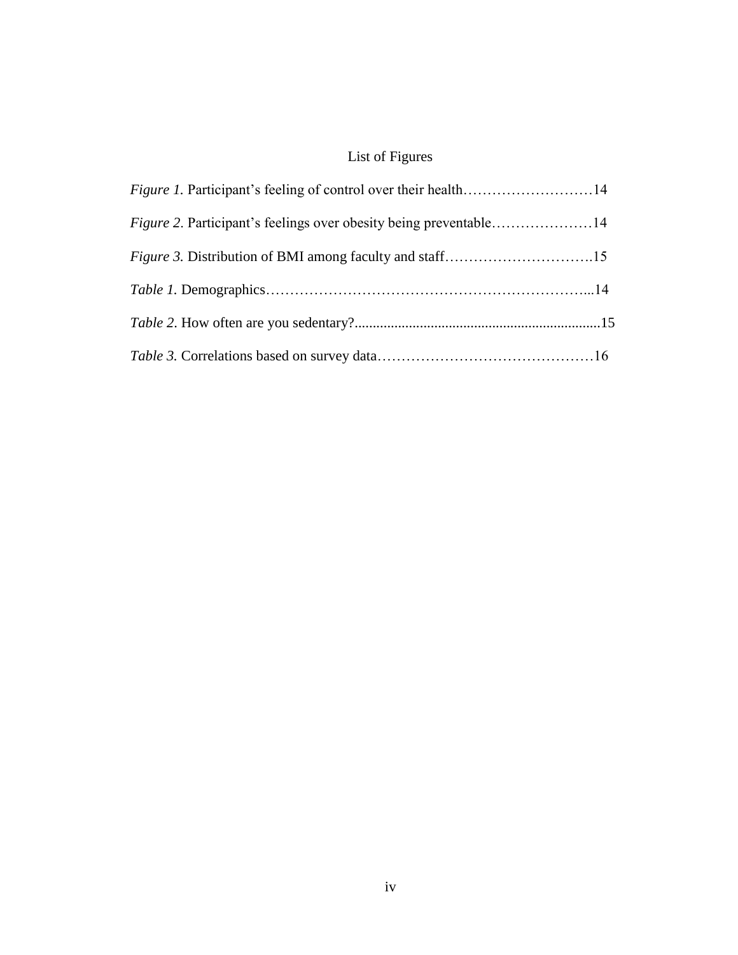# List of Figures

| <i>Figure 2. Participant's feelings over obesity being preventable</i> 14 |  |
|---------------------------------------------------------------------------|--|
|                                                                           |  |
|                                                                           |  |
|                                                                           |  |
|                                                                           |  |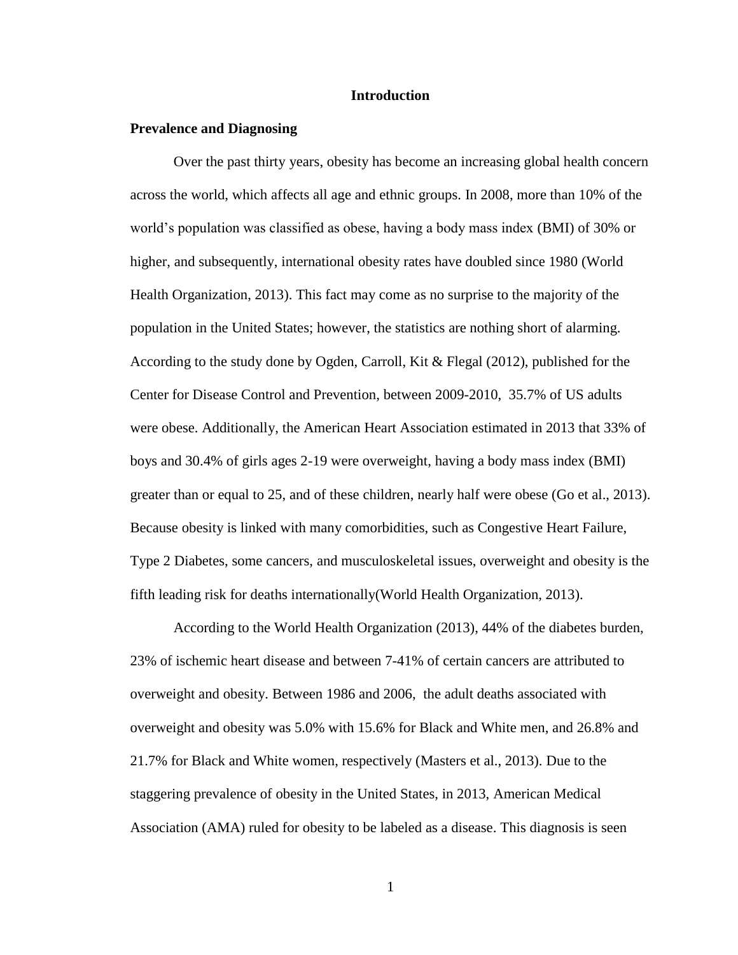#### **Introduction**

#### <span id="page-5-1"></span><span id="page-5-0"></span>**Prevalence and Diagnosing**

Over the past thirty years, obesity has become an increasing global health concern across the world, which affects all age and ethnic groups. In 2008, more than 10% of the world's population was classified as obese, having a body mass index (BMI) of 30% or higher, and subsequently, international obesity rates have doubled since 1980 (World Health Organization, 2013). This fact may come as no surprise to the majority of the population in the United States; however, the statistics are nothing short of alarming. According to the study done by Ogden, Carroll, Kit & Flegal (2012), published for the Center for Disease Control and Prevention, between 2009-2010, 35.7% of US adults were obese. Additionally, the American Heart Association estimated in 2013 that 33% of boys and 30.4% of girls ages 2-19 were overweight, having a body mass index (BMI) greater than or equal to 25, and of these children, nearly half were obese (Go et al., 2013). Because obesity is linked with many comorbidities, such as Congestive Heart Failure, Type 2 Diabetes, some cancers, and musculoskeletal issues, overweight and obesity is the fifth leading risk for deaths internationally(World Health Organization, 2013).

According to the World Health Organization (2013), 44% of the diabetes burden, 23% of ischemic heart disease and between 7-41% of certain cancers are attributed to overweight and obesity. Between 1986 and 2006, the adult deaths associated with overweight and obesity was 5.0% with 15.6% for Black and White men, and 26.8% and 21.7% for Black and White women, respectively (Masters et al., 2013). Due to the staggering prevalence of obesity in the United States, in 2013, American Medical Association (AMA) ruled for obesity to be labeled as a disease. This diagnosis is seen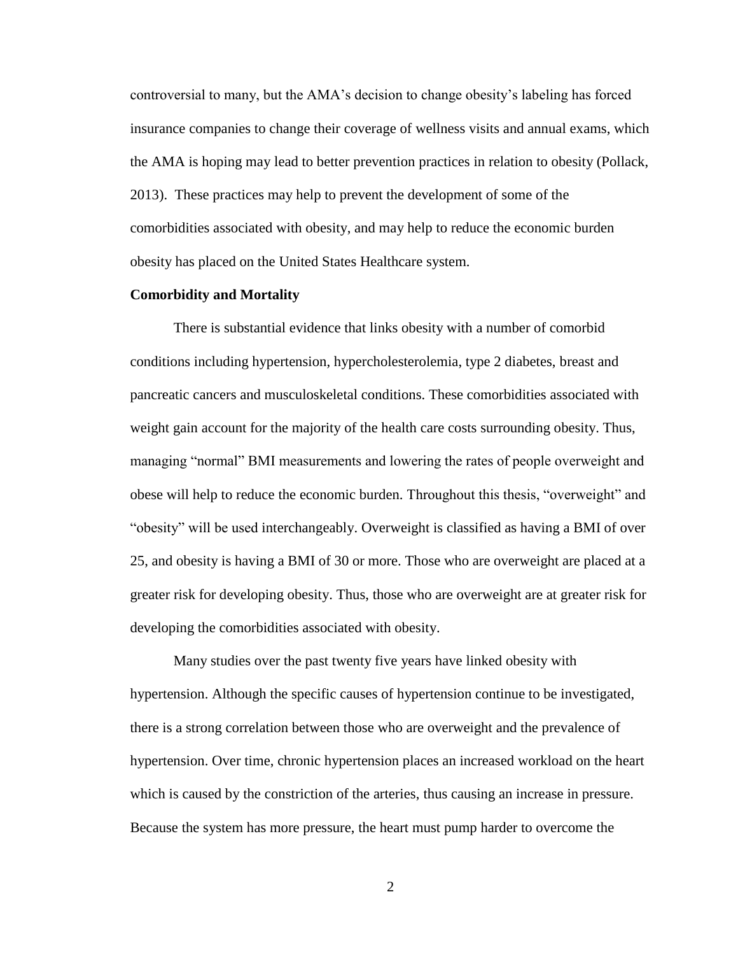controversial to many, but the AMA's decision to change obesity's labeling has forced insurance companies to change their coverage of wellness visits and annual exams, which the AMA is hoping may lead to better prevention practices in relation to obesity (Pollack, 2013). These practices may help to prevent the development of some of the comorbidities associated with obesity, and may help to reduce the economic burden obesity has placed on the United States Healthcare system.

#### <span id="page-6-0"></span>**Comorbidity and Mortality**

There is substantial evidence that links obesity with a number of comorbid conditions including hypertension, hypercholesterolemia, type 2 diabetes, breast and pancreatic cancers and musculoskeletal conditions. These comorbidities associated with weight gain account for the majority of the health care costs surrounding obesity. Thus, managing "normal" BMI measurements and lowering the rates of people overweight and obese will help to reduce the economic burden. Throughout this thesis, "overweight" and "obesity" will be used interchangeably. Overweight is classified as having a BMI of over 25, and obesity is having a BMI of 30 or more. Those who are overweight are placed at a greater risk for developing obesity. Thus, those who are overweight are at greater risk for developing the comorbidities associated with obesity.

Many studies over the past twenty five years have linked obesity with hypertension. Although the specific causes of hypertension continue to be investigated, there is a strong correlation between those who are overweight and the prevalence of hypertension. Over time, chronic hypertension places an increased workload on the heart which is caused by the constriction of the arteries, thus causing an increase in pressure. Because the system has more pressure, the heart must pump harder to overcome the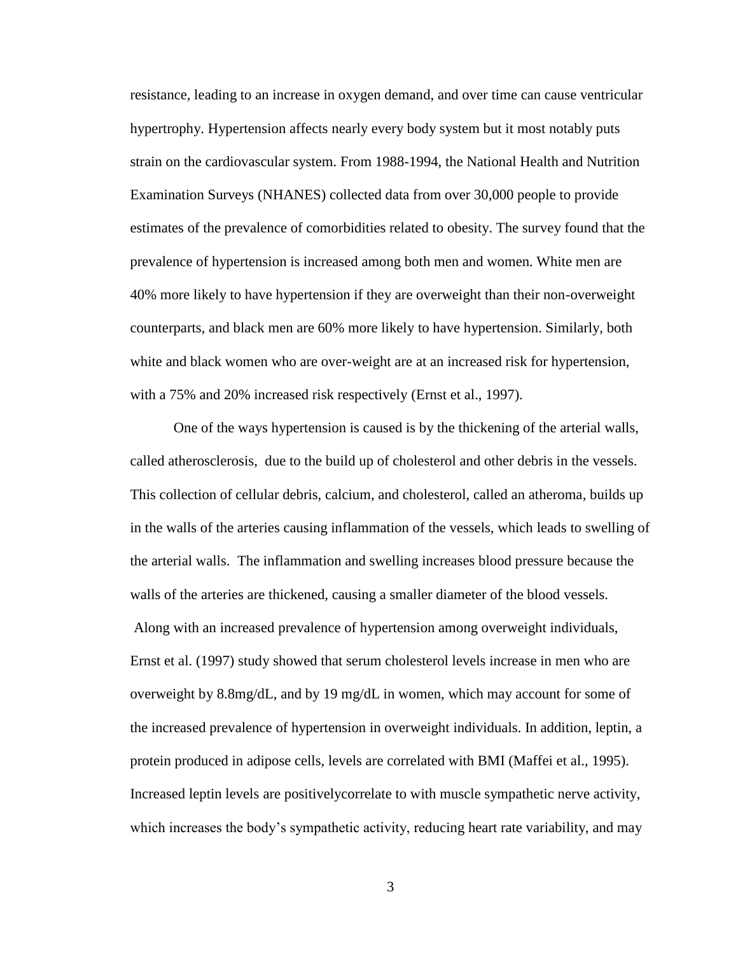resistance, leading to an increase in oxygen demand, and over time can cause ventricular hypertrophy. Hypertension affects nearly every body system but it most notably puts strain on the cardiovascular system. From 1988-1994, the National Health and Nutrition Examination Surveys (NHANES) collected data from over 30,000 people to provide estimates of the prevalence of comorbidities related to obesity. The survey found that the prevalence of hypertension is increased among both men and women. White men are 40% more likely to have hypertension if they are overweight than their non-overweight counterparts, and black men are 60% more likely to have hypertension. Similarly, both white and black women who are over-weight are at an increased risk for hypertension, with a 75% and 20% increased risk respectively (Ernst et al., 1997).

One of the ways hypertension is caused is by the thickening of the arterial walls, called atherosclerosis, due to the build up of cholesterol and other debris in the vessels. This collection of cellular debris, calcium, and cholesterol, called an atheroma, builds up in the walls of the arteries causing inflammation of the vessels, which leads to swelling of the arterial walls. The inflammation and swelling increases blood pressure because the walls of the arteries are thickened, causing a smaller diameter of the blood vessels. Along with an increased prevalence of hypertension among overweight individuals, Ernst et al. (1997) study showed that serum cholesterol levels increase in men who are overweight by 8.8mg/dL, and by 19 mg/dL in women, which may account for some of the increased prevalence of hypertension in overweight individuals. In addition, leptin, a protein produced in adipose cells, levels are correlated with BMI (Maffei et al., 1995). Increased leptin levels are positivelycorrelate to with muscle sympathetic nerve activity, which increases the body's sympathetic activity, reducing heart rate variability, and may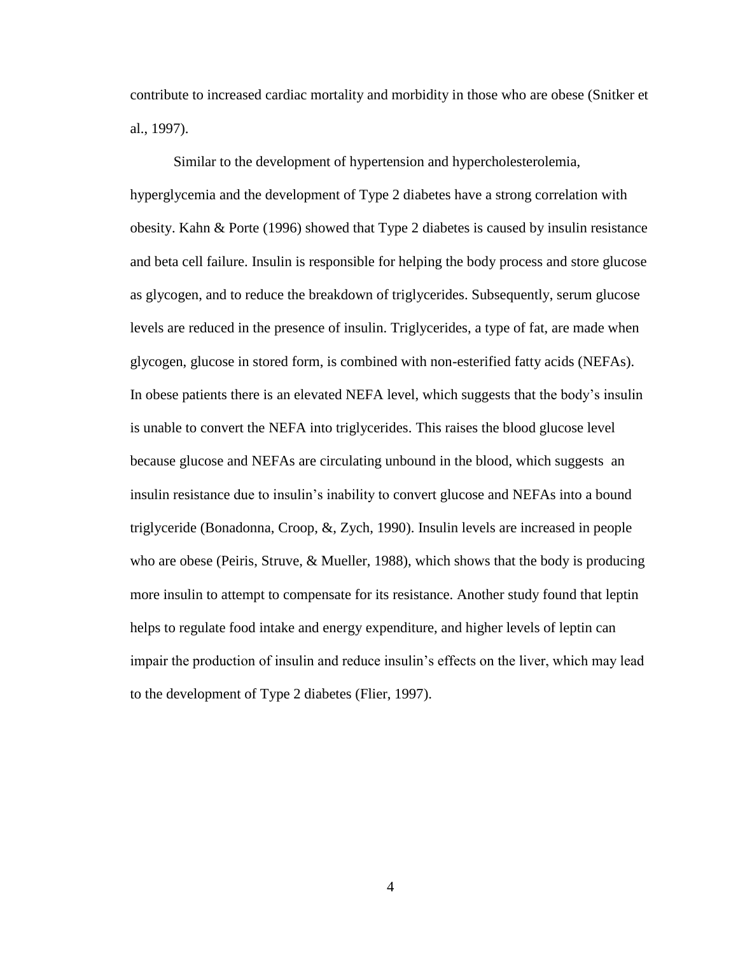contribute to increased cardiac mortality and morbidity in those who are obese (Snitker et al., 1997).

Similar to the development of hypertension and hypercholesterolemia, hyperglycemia and the development of Type 2 diabetes have a strong correlation with obesity. Kahn & Porte (1996) showed that Type 2 diabetes is caused by insulin resistance and beta cell failure. Insulin is responsible for helping the body process and store glucose as glycogen, and to reduce the breakdown of triglycerides. Subsequently, serum glucose levels are reduced in the presence of insulin. Triglycerides, a type of fat, are made when glycogen, glucose in stored form, is combined with non-esterified fatty acids (NEFAs). In obese patients there is an elevated NEFA level, which suggests that the body's insulin is unable to convert the NEFA into triglycerides. This raises the blood glucose level because glucose and NEFAs are circulating unbound in the blood, which suggests an insulin resistance due to insulin's inability to convert glucose and NEFAs into a bound triglyceride (Bonadonna, Croop, &, Zych, 1990). Insulin levels are increased in people who are obese (Peiris, Struve, & Mueller, 1988), which shows that the body is producing more insulin to attempt to compensate for its resistance. Another study found that leptin helps to regulate food intake and energy expenditure, and higher levels of leptin can impair the production of insulin and reduce insulin's effects on the liver, which may lead to the development of Type 2 diabetes (Flier, 1997).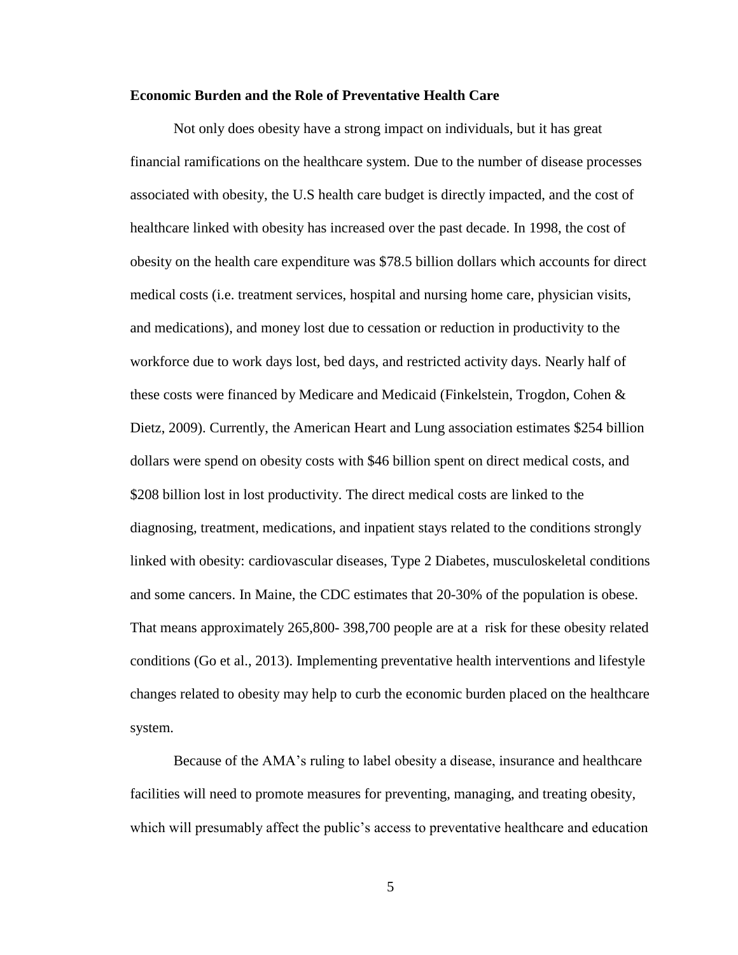#### <span id="page-9-0"></span>**Economic Burden and the Role of Preventative Health Care**

Not only does obesity have a strong impact on individuals, but it has great financial ramifications on the healthcare system. Due to the number of disease processes associated with obesity, the U.S health care budget is directly impacted, and the cost of healthcare linked with obesity has increased over the past decade. In 1998, the cost of obesity on the health care expenditure was \$78.5 billion dollars which accounts for direct medical costs (i.e. treatment services, hospital and nursing home care, physician visits, and medications), and money lost due to cessation or reduction in productivity to the workforce due to work days lost, bed days, and restricted activity days. Nearly half of these costs were financed by Medicare and Medicaid (Finkelstein, Trogdon, Cohen & Dietz, 2009). Currently, the American Heart and Lung association estimates \$254 billion dollars were spend on obesity costs with \$46 billion spent on direct medical costs, and \$208 billion lost in lost productivity. The direct medical costs are linked to the diagnosing, treatment, medications, and inpatient stays related to the conditions strongly linked with obesity: cardiovascular diseases, Type 2 Diabetes, musculoskeletal conditions and some cancers. In Maine, the CDC estimates that 20-30% of the population is obese. That means approximately 265,800- 398,700 people are at a risk for these obesity related conditions (Go et al., 2013). Implementing preventative health interventions and lifestyle changes related to obesity may help to curb the economic burden placed on the healthcare system.

Because of the AMA's ruling to label obesity a disease, insurance and healthcare facilities will need to promote measures for preventing, managing, and treating obesity, which will presumably affect the public's access to preventative healthcare and education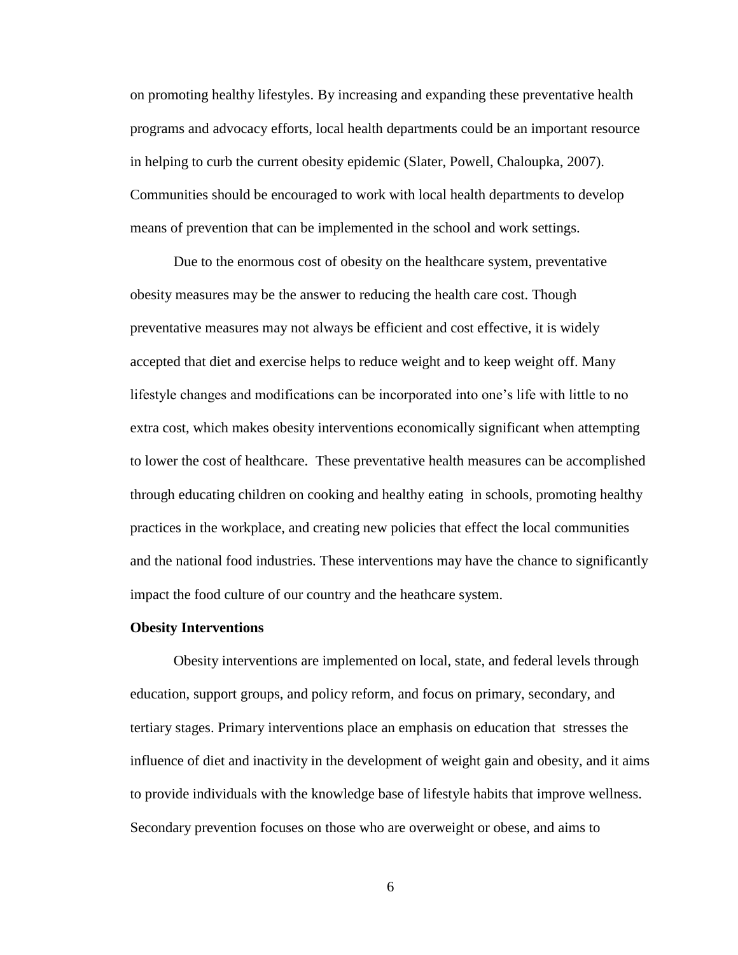on promoting healthy lifestyles. By increasing and expanding these preventative health programs and advocacy efforts, local health departments could be an important resource in helping to curb the current obesity epidemic (Slater, Powell, Chaloupka, 2007). Communities should be encouraged to work with local health departments to develop means of prevention that can be implemented in the school and work settings.

Due to the enormous cost of obesity on the healthcare system, preventative obesity measures may be the answer to reducing the health care cost. Though preventative measures may not always be efficient and cost effective, it is widely accepted that diet and exercise helps to reduce weight and to keep weight off. Many lifestyle changes and modifications can be incorporated into one's life with little to no extra cost, which makes obesity interventions economically significant when attempting to lower the cost of healthcare. These preventative health measures can be accomplished through educating children on cooking and healthy eating in schools, promoting healthy practices in the workplace, and creating new policies that effect the local communities and the national food industries. These interventions may have the chance to significantly impact the food culture of our country and the heathcare system.

#### <span id="page-10-0"></span>**Obesity Interventions**

Obesity interventions are implemented on local, state, and federal levels through education, support groups, and policy reform, and focus on primary, secondary, and tertiary stages. Primary interventions place an emphasis on education that stresses the influence of diet and inactivity in the development of weight gain and obesity, and it aims to provide individuals with the knowledge base of lifestyle habits that improve wellness. Secondary prevention focuses on those who are overweight or obese, and aims to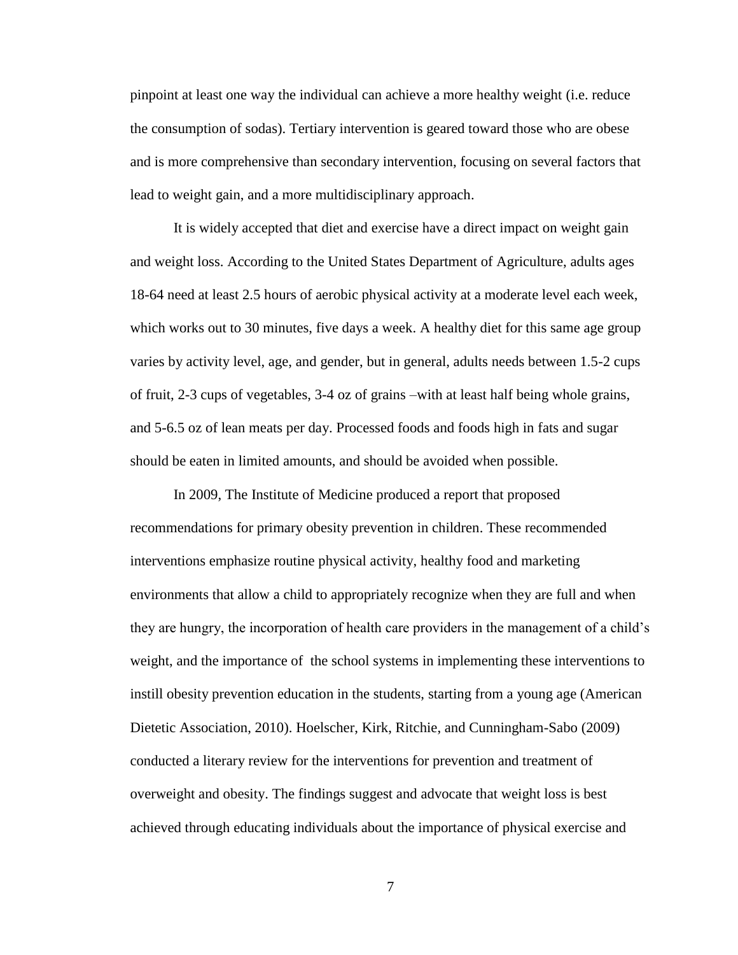pinpoint at least one way the individual can achieve a more healthy weight (i.e. reduce the consumption of sodas). Tertiary intervention is geared toward those who are obese and is more comprehensive than secondary intervention, focusing on several factors that lead to weight gain, and a more multidisciplinary approach.

It is widely accepted that diet and exercise have a direct impact on weight gain and weight loss. According to the United States Department of Agriculture, adults ages 18-64 need at least 2.5 hours of aerobic physical activity at a moderate level each week, which works out to 30 minutes, five days a week. A healthy diet for this same age group varies by activity level, age, and gender, but in general, adults needs between 1.5-2 cups of fruit, 2-3 cups of vegetables, 3-4 oz of grains –with at least half being whole grains, and 5-6.5 oz of lean meats per day. Processed foods and foods high in fats and sugar should be eaten in limited amounts, and should be avoided when possible.

In 2009, The Institute of Medicine produced a report that proposed recommendations for primary obesity prevention in children. These recommended interventions emphasize routine physical activity, healthy food and marketing environments that allow a child to appropriately recognize when they are full and when they are hungry, the incorporation of health care providers in the management of a child's weight, and the importance of the school systems in implementing these interventions to instill obesity prevention education in the students, starting from a young age (American Dietetic Association, 2010). Hoelscher, Kirk, Ritchie, and Cunningham-Sabo (2009) conducted a literary review for the interventions for prevention and treatment of overweight and obesity. The findings suggest and advocate that weight loss is best achieved through educating individuals about the importance of physical exercise and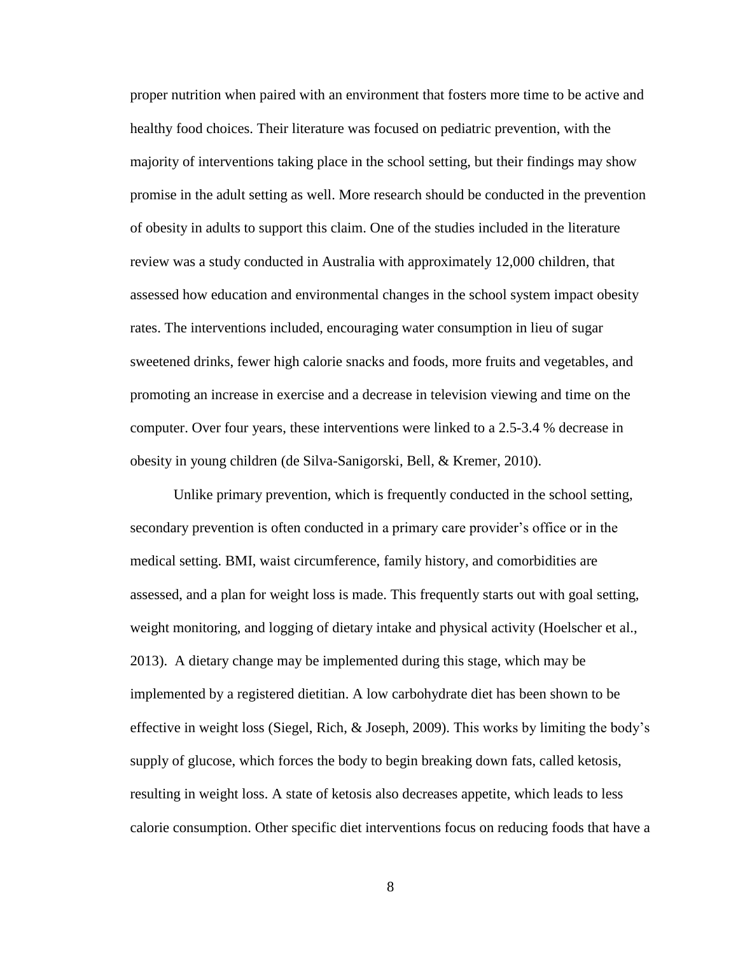proper nutrition when paired with an environment that fosters more time to be active and healthy food choices. Their literature was focused on pediatric prevention, with the majority of interventions taking place in the school setting, but their findings may show promise in the adult setting as well. More research should be conducted in the prevention of obesity in adults to support this claim. One of the studies included in the literature review was a study conducted in Australia with approximately 12,000 children, that assessed how education and environmental changes in the school system impact obesity rates. The interventions included, encouraging water consumption in lieu of sugar sweetened drinks, fewer high calorie snacks and foods, more fruits and vegetables, and promoting an increase in exercise and a decrease in television viewing and time on the computer. Over four years, these interventions were linked to a 2.5-3.4 % decrease in obesity in young children (de Silva-Sanigorski, Bell, & Kremer, 2010).

Unlike primary prevention, which is frequently conducted in the school setting, secondary prevention is often conducted in a primary care provider's office or in the medical setting. BMI, waist circumference, family history, and comorbidities are assessed, and a plan for weight loss is made. This frequently starts out with goal setting, weight monitoring, and logging of dietary intake and physical activity (Hoelscher et al., 2013). A dietary change may be implemented during this stage, which may be implemented by a registered dietitian. A low carbohydrate diet has been shown to be effective in weight loss (Siegel, Rich, & Joseph, 2009). This works by limiting the body's supply of glucose, which forces the body to begin breaking down fats, called ketosis, resulting in weight loss. A state of ketosis also decreases appetite, which leads to less calorie consumption. Other specific diet interventions focus on reducing foods that have a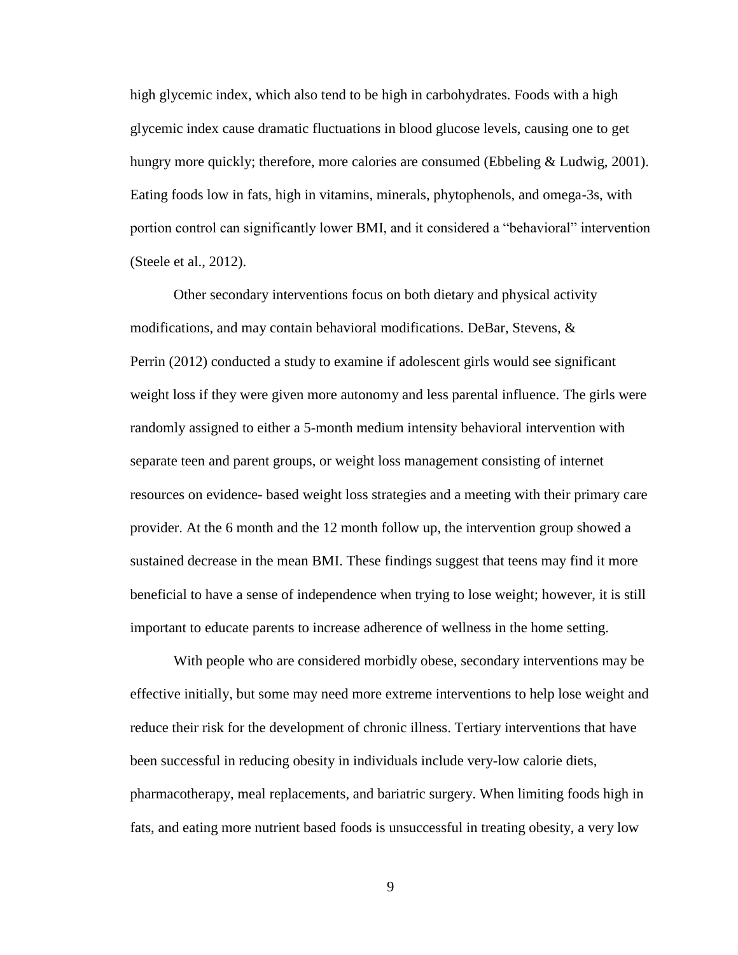high glycemic index, which also tend to be high in carbohydrates. Foods with a high glycemic index cause dramatic fluctuations in blood glucose levels, causing one to get hungry more quickly; therefore, more calories are consumed (Ebbeling & Ludwig, 2001). Eating foods low in fats, high in vitamins, minerals, phytophenols, and omega-3s, with portion control can significantly lower BMI, and it considered a "behavioral" intervention (Steele et al., 2012).

Other secondary interventions focus on both dietary and physical activity modifications, and may contain behavioral modifications. DeBar, Stevens, & Perrin (2012) conducted a study to examine if adolescent girls would see significant weight loss if they were given more autonomy and less parental influence. The girls were randomly assigned to either a 5-month medium intensity behavioral intervention with separate teen and parent groups, or weight loss management consisting of internet resources on evidence- based weight loss strategies and a meeting with their primary care provider. At the 6 month and the 12 month follow up, the intervention group showed a sustained decrease in the mean BMI. These findings suggest that teens may find it more beneficial to have a sense of independence when trying to lose weight; however, it is still important to educate parents to increase adherence of wellness in the home setting.

With people who are considered morbidly obese, secondary interventions may be effective initially, but some may need more extreme interventions to help lose weight and reduce their risk for the development of chronic illness. Tertiary interventions that have been successful in reducing obesity in individuals include very-low calorie diets, pharmacotherapy, meal replacements, and bariatric surgery. When limiting foods high in fats, and eating more nutrient based foods is unsuccessful in treating obesity, a very low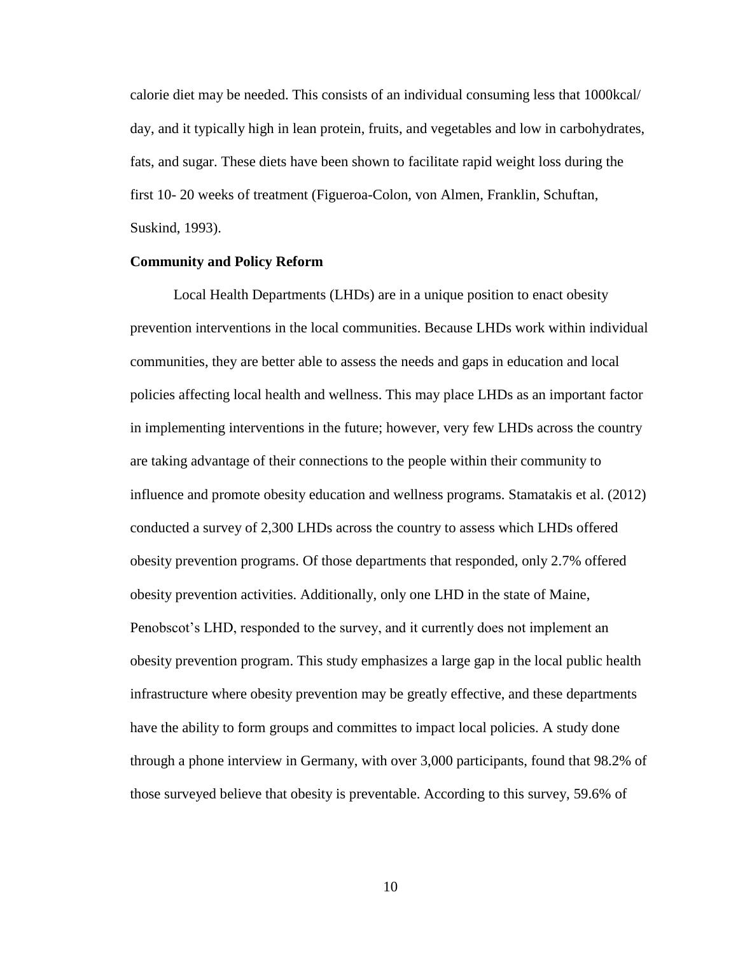calorie diet may be needed. This consists of an individual consuming less that 1000kcal/ day, and it typically high in lean protein, fruits, and vegetables and low in carbohydrates, fats, and sugar. These diets have been shown to facilitate rapid weight loss during the first 10- 20 weeks of treatment (Figueroa-Colon, von Almen, Franklin, Schuftan, Suskind, 1993).

#### <span id="page-14-0"></span>**Community and Policy Reform**

Local Health Departments (LHDs) are in a unique position to enact obesity prevention interventions in the local communities. Because LHDs work within individual communities, they are better able to assess the needs and gaps in education and local policies affecting local health and wellness. This may place LHDs as an important factor in implementing interventions in the future; however, very few LHDs across the country are taking advantage of their connections to the people within their community to influence and promote obesity education and wellness programs. Stamatakis et al. (2012) conducted a survey of 2,300 LHDs across the country to assess which LHDs offered obesity prevention programs. Of those departments that responded, only 2.7% offered obesity prevention activities. Additionally, only one LHD in the state of Maine, Penobscot's LHD, responded to the survey, and it currently does not implement an obesity prevention program. This study emphasizes a large gap in the local public health infrastructure where obesity prevention may be greatly effective, and these departments have the ability to form groups and committes to impact local policies. A study done through a phone interview in Germany, with over 3,000 participants, found that 98.2% of those surveyed believe that obesity is preventable. According to this survey, 59.6% of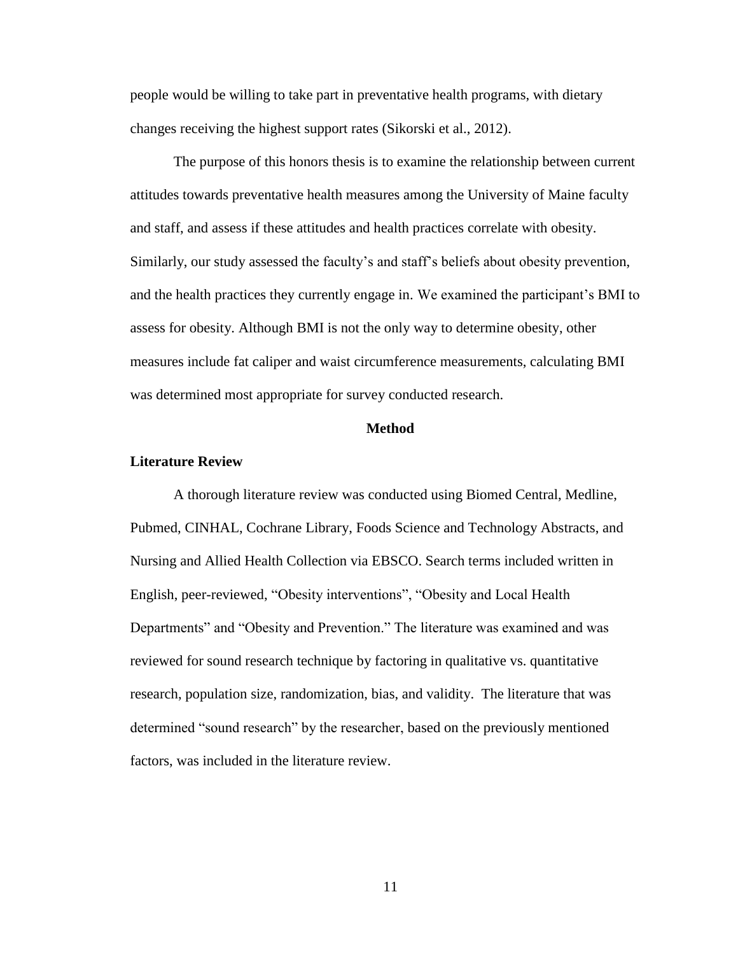people would be willing to take part in preventative health programs, with dietary changes receiving the highest support rates (Sikorski et al., 2012).

The purpose of this honors thesis is to examine the relationship between current attitudes towards preventative health measures among the University of Maine faculty and staff, and assess if these attitudes and health practices correlate with obesity. Similarly, our study assessed the faculty's and staff's beliefs about obesity prevention, and the health practices they currently engage in. We examined the participant's BMI to assess for obesity. Although BMI is not the only way to determine obesity, other measures include fat caliper and waist circumference measurements, calculating BMI was determined most appropriate for survey conducted research.

#### **Method**

#### <span id="page-15-0"></span>**Literature Review**

A thorough literature review was conducted using Biomed Central, Medline, Pubmed, CINHAL, Cochrane Library, Foods Science and Technology Abstracts, and Nursing and Allied Health Collection via EBSCO. Search terms included written in English, peer-reviewed, "Obesity interventions", "Obesity and Local Health Departments" and "Obesity and Prevention." The literature was examined and was reviewed for sound research technique by factoring in qualitative vs. quantitative research, population size, randomization, bias, and validity. The literature that was determined "sound research" by the researcher, based on the previously mentioned factors, was included in the literature review.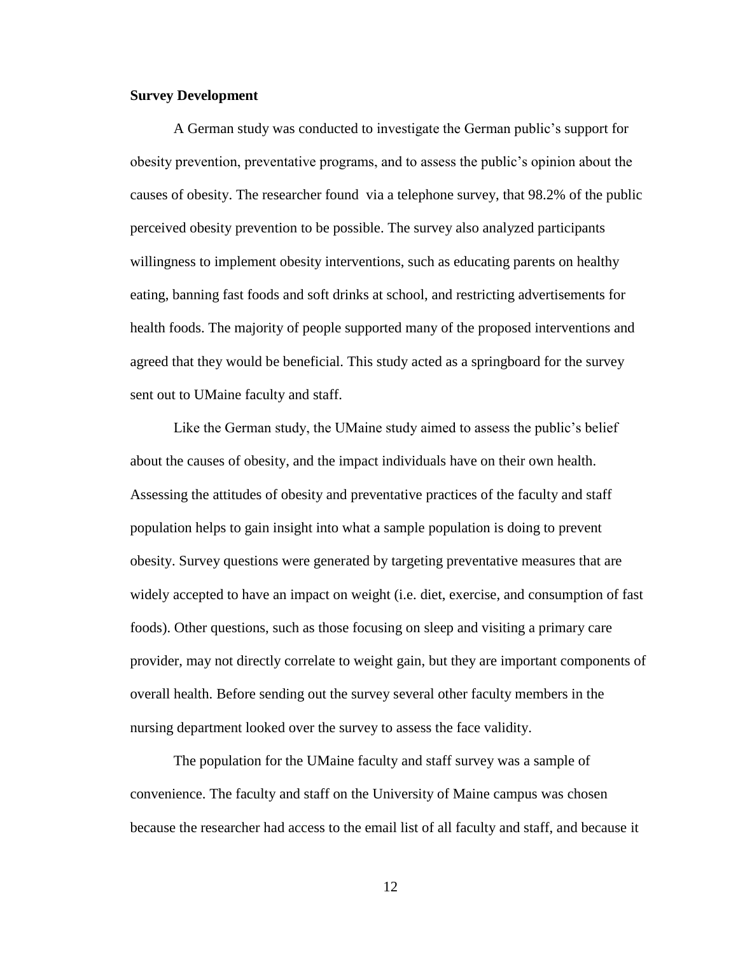## <span id="page-16-0"></span>**Survey Development**

A German study was conducted to investigate the German public's support for obesity prevention, preventative programs, and to assess the public's opinion about the causes of obesity. The researcher found via a telephone survey, that 98.2% of the public perceived obesity prevention to be possible. The survey also analyzed participants willingness to implement obesity interventions, such as educating parents on healthy eating, banning fast foods and soft drinks at school, and restricting advertisements for health foods. The majority of people supported many of the proposed interventions and agreed that they would be beneficial. This study acted as a springboard for the survey sent out to UMaine faculty and staff.

Like the German study, the UMaine study aimed to assess the public's belief about the causes of obesity, and the impact individuals have on their own health. Assessing the attitudes of obesity and preventative practices of the faculty and staff population helps to gain insight into what a sample population is doing to prevent obesity. Survey questions were generated by targeting preventative measures that are widely accepted to have an impact on weight (i.e. diet, exercise, and consumption of fast foods). Other questions, such as those focusing on sleep and visiting a primary care provider, may not directly correlate to weight gain, but they are important components of overall health. Before sending out the survey several other faculty members in the nursing department looked over the survey to assess the face validity.

The population for the UMaine faculty and staff survey was a sample of convenience. The faculty and staff on the University of Maine campus was chosen because the researcher had access to the email list of all faculty and staff, and because it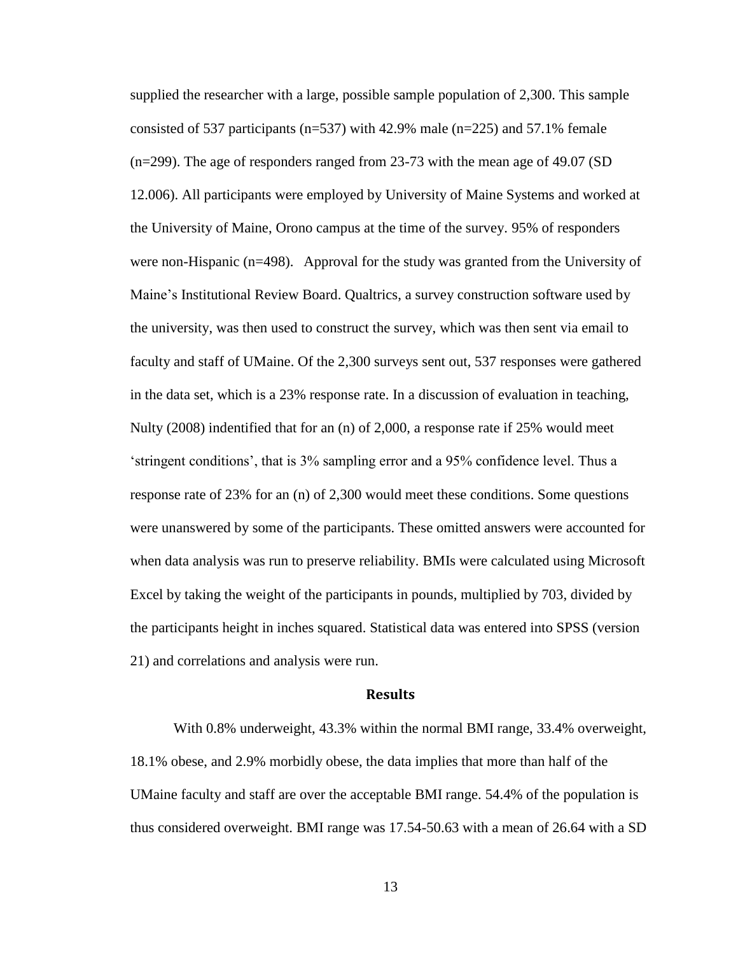supplied the researcher with a large, possible sample population of 2,300. This sample consisted of 537 participants ( $n=537$ ) with 42.9% male ( $n=225$ ) and 57.1% female (n=299). The age of responders ranged from 23-73 with the mean age of 49.07 (SD 12.006). All participants were employed by University of Maine Systems and worked at the University of Maine, Orono campus at the time of the survey. 95% of responders were non-Hispanic (n=498). Approval for the study was granted from the University of Maine's Institutional Review Board. Qualtrics, a survey construction software used by the university, was then used to construct the survey, which was then sent via email to faculty and staff of UMaine. Of the 2,300 surveys sent out, 537 responses were gathered in the data set, which is a 23% response rate. In a discussion of evaluation in teaching, Nulty (2008) indentified that for an (n) of 2,000, a response rate if 25% would meet 'stringent conditions', that is 3% sampling error and a 95% confidence level. Thus a response rate of 23% for an (n) of 2,300 would meet these conditions. Some questions were unanswered by some of the participants. These omitted answers were accounted for when data analysis was run to preserve reliability. BMIs were calculated using Microsoft Excel by taking the weight of the participants in pounds, multiplied by 703, divided by the participants height in inches squared. Statistical data was entered into SPSS (version 21) and correlations and analysis were run.

## **Results**

<span id="page-17-0"></span>With 0.8% underweight, 43.3% within the normal BMI range, 33.4% overweight, 18.1% obese, and 2.9% morbidly obese, the data implies that more than half of the UMaine faculty and staff are over the acceptable BMI range. 54.4% of the population is thus considered overweight. BMI range was 17.54-50.63 with a mean of 26.64 with a SD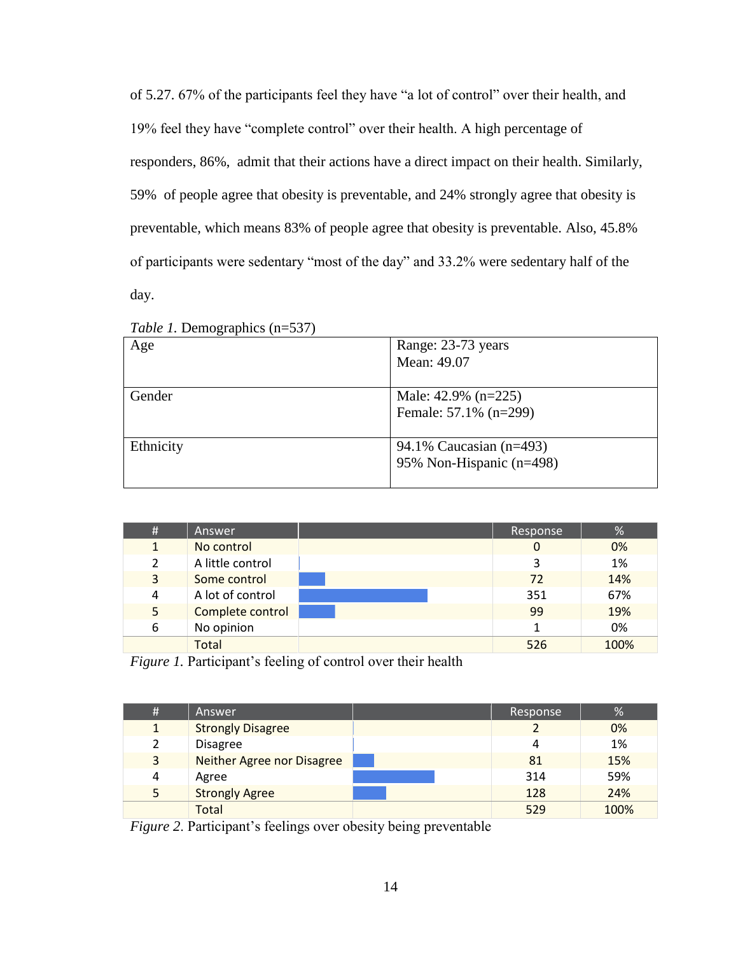of 5.27. 67% of the participants feel they have "a lot of control" over their health, and 19% feel they have "complete control" over their health. A high percentage of responders, 86%, admit that their actions have a direct impact on their health. Similarly, 59% of people agree that obesity is preventable, and 24% strongly agree that obesity is preventable, which means 83% of people agree that obesity is preventable. Also, 45.8% of participants were sedentary "most of the day" and 33.2% were sedentary half of the day.

| Age       | Range: 23-73 years<br>Mean: 49.07 |
|-----------|-----------------------------------|
|           |                                   |
| Gender    | Male: $42.9\%$ (n=225)            |
|           | Female: 57.1% (n=299)             |
|           |                                   |
| Ethnicity | 94.1% Caucasian (n=493)           |
|           | 95% Non-Hispanic (n=498)          |
|           |                                   |

*Table 1.* Demographics (n=537)

| # | Answer           | Response | %    |
|---|------------------|----------|------|
| 1 | No control       | 0        | 0%   |
| 2 | A little control | 3        | 1%   |
| 3 | Some control     | 72       | 14%  |
| 4 | A lot of control | 351      | 67%  |
| 5 | Complete control | 99       | 19%  |
| 6 | No opinion       |          | 0%   |
|   | <b>Total</b>     | 526      | 100% |

*Figure 1.* Participant's feeling of control over their health

| # | Answer                     | Response | %    |
|---|----------------------------|----------|------|
|   | <b>Strongly Disagree</b>   |          | 0%   |
| 2 | <b>Disagree</b>            | 4        | 1%   |
| 3 | Neither Agree nor Disagree | 81       | 15%  |
| 4 | Agree                      | 314      | 59%  |
| 5 | <b>Strongly Agree</b>      | 128      | 24%  |
|   | Total                      | 529      | 100% |

*Figure 2*. Participant's feelings over obesity being preventable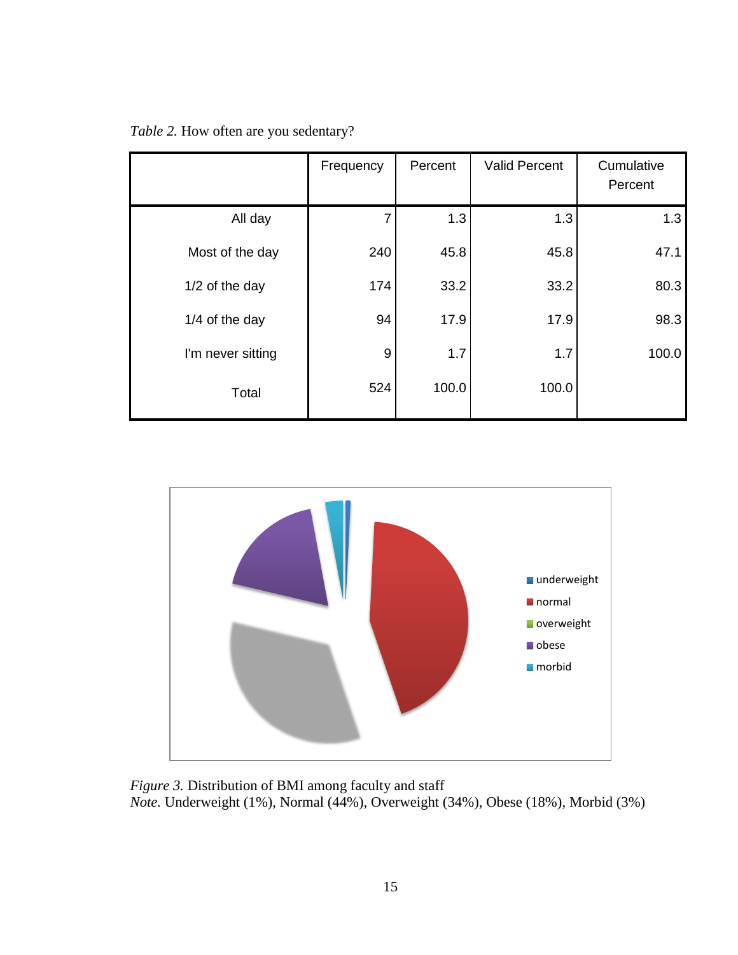| Table 2. How often are you sedentary? |  |  |
|---------------------------------------|--|--|
|---------------------------------------|--|--|

|                   | Frequency | Percent | <b>Valid Percent</b> | Cumulative<br>Percent |
|-------------------|-----------|---------|----------------------|-----------------------|
| All day           | 7         | 1.3     | 1.3                  | 1.3                   |
| Most of the day   | 240       | 45.8    | 45.8                 | 47.1                  |
| 1/2 of the day    | 174       | 33.2    | 33.2                 | 80.3                  |
| 1/4 of the day    | 94        | 17.9    | 17.9                 | 98.3                  |
| I'm never sitting | 9         | 1.7     | 1.7                  | 100.0                 |
| Total             | 524       | 100.0   | 100.0                |                       |



*Figure 3.* Distribution of BMI among faculty and staff *Note.* Underweight (1%), Normal (44%), Overweight (34%), Obese (18%), Morbid (3%)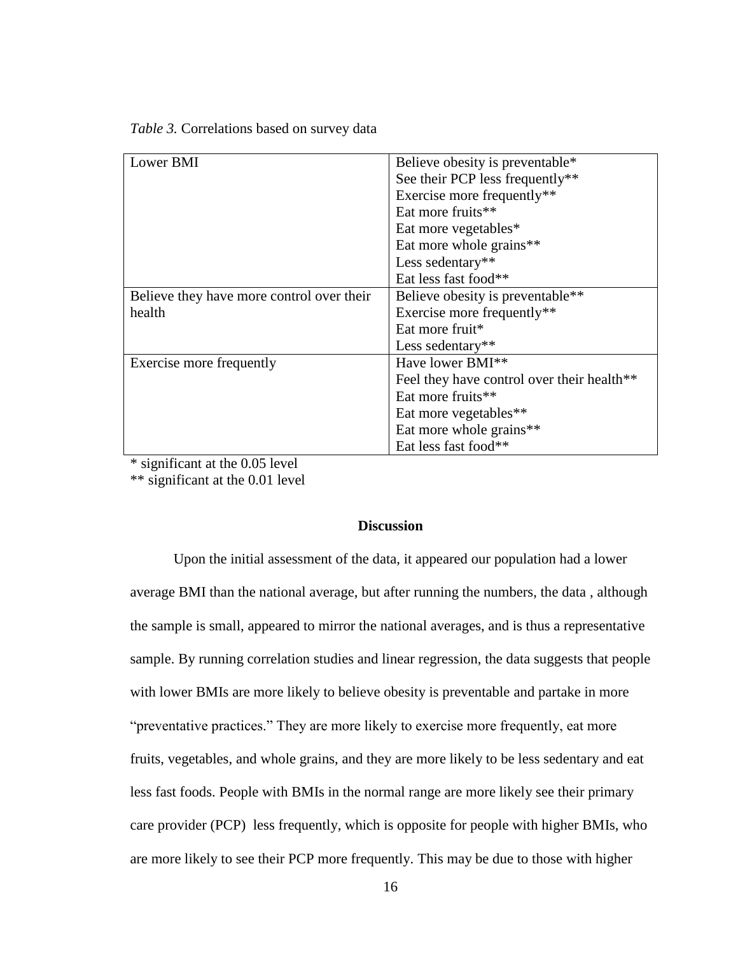| Lower BMI                                 | Believe obesity is preventable*              |
|-------------------------------------------|----------------------------------------------|
|                                           | See their PCP less frequently**              |
|                                           | Exercise more frequently**                   |
|                                           | Eat more fruits**                            |
|                                           | Eat more vegetables*                         |
|                                           | Eat more whole grains**                      |
|                                           | Less sedentary**                             |
|                                           | Eat less fast food**                         |
| Believe they have more control over their | Believe obesity is preventable <sup>**</sup> |
| health                                    | Exercise more frequently**                   |
|                                           | Eat more fruit <sup>*</sup>                  |
|                                           | Less sedentary**                             |
| Exercise more frequently                  | Have lower BMI <sup>**</sup>                 |
|                                           | Feel they have control over their health**   |
|                                           | Eat more fruits**                            |
|                                           | Eat more vegetables**                        |
|                                           | Eat more whole grains**                      |
|                                           | Eat less fast food**                         |

<span id="page-20-0"></span>\* significant at the 0.05 level \*\* significant at the 0.01 level

## **Discussion**

Upon the initial assessment of the data, it appeared our population had a lower average BMI than the national average, but after running the numbers, the data , although the sample is small, appeared to mirror the national averages, and is thus a representative sample. By running correlation studies and linear regression, the data suggests that people with lower BMIs are more likely to believe obesity is preventable and partake in more "preventative practices." They are more likely to exercise more frequently, eat more fruits, vegetables, and whole grains, and they are more likely to be less sedentary and eat less fast foods. People with BMIs in the normal range are more likely see their primary care provider (PCP) less frequently, which is opposite for people with higher BMIs, who are more likely to see their PCP more frequently. This may be due to those with higher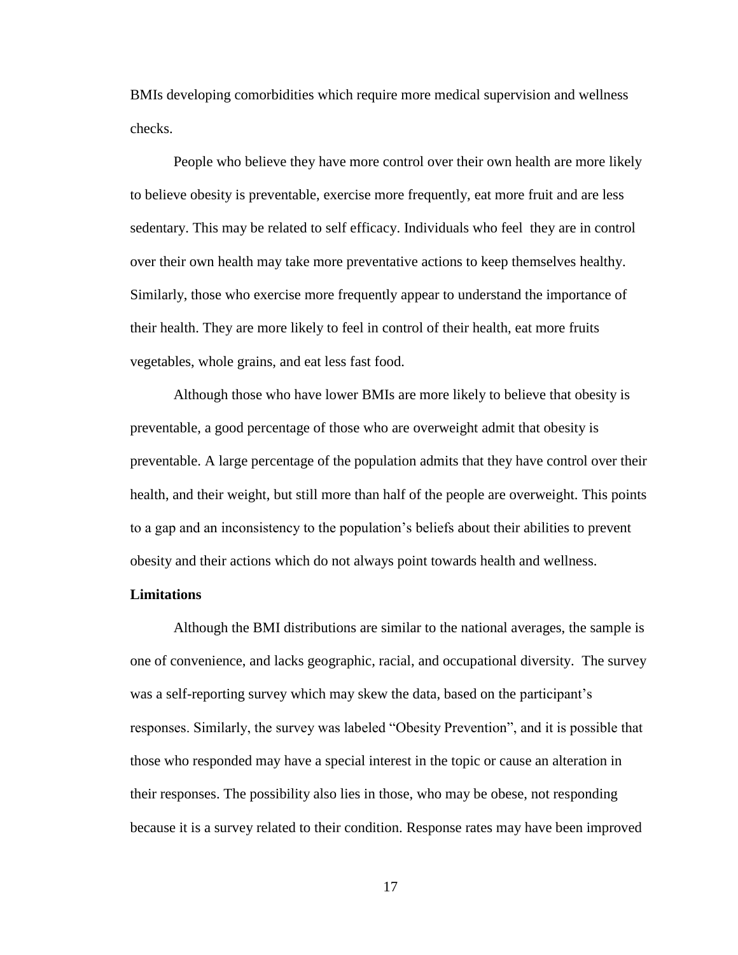BMIs developing comorbidities which require more medical supervision and wellness checks.

People who believe they have more control over their own health are more likely to believe obesity is preventable, exercise more frequently, eat more fruit and are less sedentary. This may be related to self efficacy. Individuals who feel they are in control over their own health may take more preventative actions to keep themselves healthy. Similarly, those who exercise more frequently appear to understand the importance of their health. They are more likely to feel in control of their health, eat more fruits vegetables, whole grains, and eat less fast food.

Although those who have lower BMIs are more likely to believe that obesity is preventable, a good percentage of those who are overweight admit that obesity is preventable. A large percentage of the population admits that they have control over their health, and their weight, but still more than half of the people are overweight. This points to a gap and an inconsistency to the population's beliefs about their abilities to prevent obesity and their actions which do not always point towards health and wellness.

#### <span id="page-21-0"></span>**Limitations**

Although the BMI distributions are similar to the national averages, the sample is one of convenience, and lacks geographic, racial, and occupational diversity. The survey was a self-reporting survey which may skew the data, based on the participant's responses. Similarly, the survey was labeled "Obesity Prevention", and it is possible that those who responded may have a special interest in the topic or cause an alteration in their responses. The possibility also lies in those, who may be obese, not responding because it is a survey related to their condition. Response rates may have been improved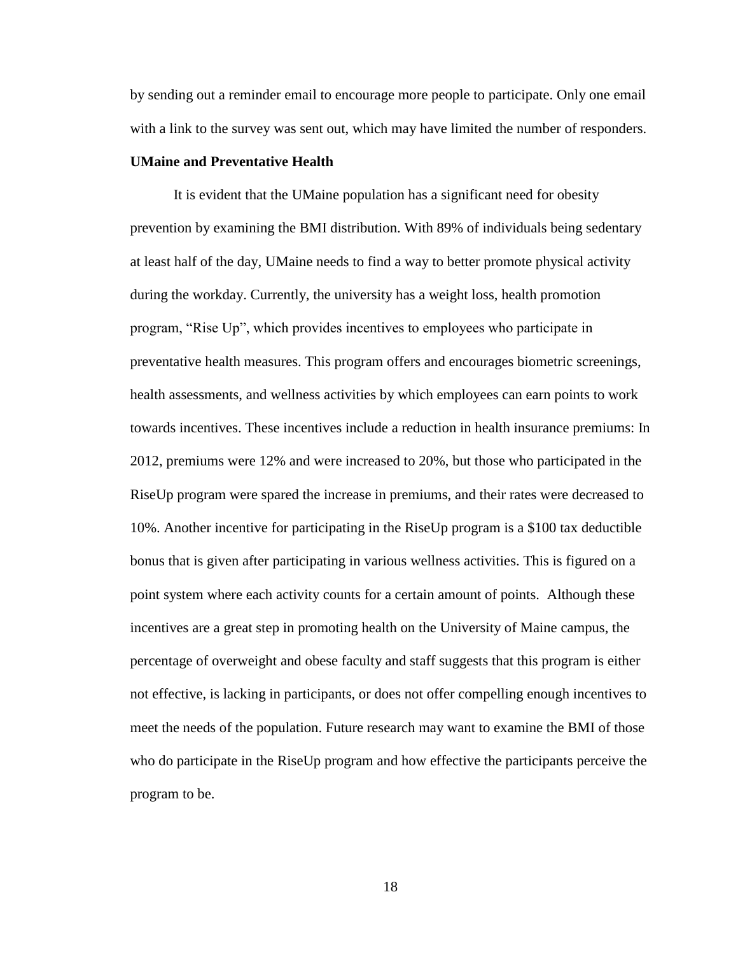by sending out a reminder email to encourage more people to participate. Only one email with a link to the survey was sent out, which may have limited the number of responders.

## <span id="page-22-0"></span>**UMaine and Preventative Health**

It is evident that the UMaine population has a significant need for obesity prevention by examining the BMI distribution. With 89% of individuals being sedentary at least half of the day, UMaine needs to find a way to better promote physical activity during the workday. Currently, the university has a weight loss, health promotion program, "Rise Up", which provides incentives to employees who participate in preventative health measures. This program offers and encourages biometric screenings, health assessments, and wellness activities by which employees can earn points to work towards incentives. These incentives include a reduction in health insurance premiums: In 2012, premiums were 12% and were increased to 20%, but those who participated in the RiseUp program were spared the increase in premiums, and their rates were decreased to 10%. Another incentive for participating in the RiseUp program is a \$100 tax deductible bonus that is given after participating in various wellness activities. This is figured on a point system where each activity counts for a certain amount of points. Although these incentives are a great step in promoting health on the University of Maine campus, the percentage of overweight and obese faculty and staff suggests that this program is either not effective, is lacking in participants, or does not offer compelling enough incentives to meet the needs of the population. Future research may want to examine the BMI of those who do participate in the RiseUp program and how effective the participants perceive the program to be.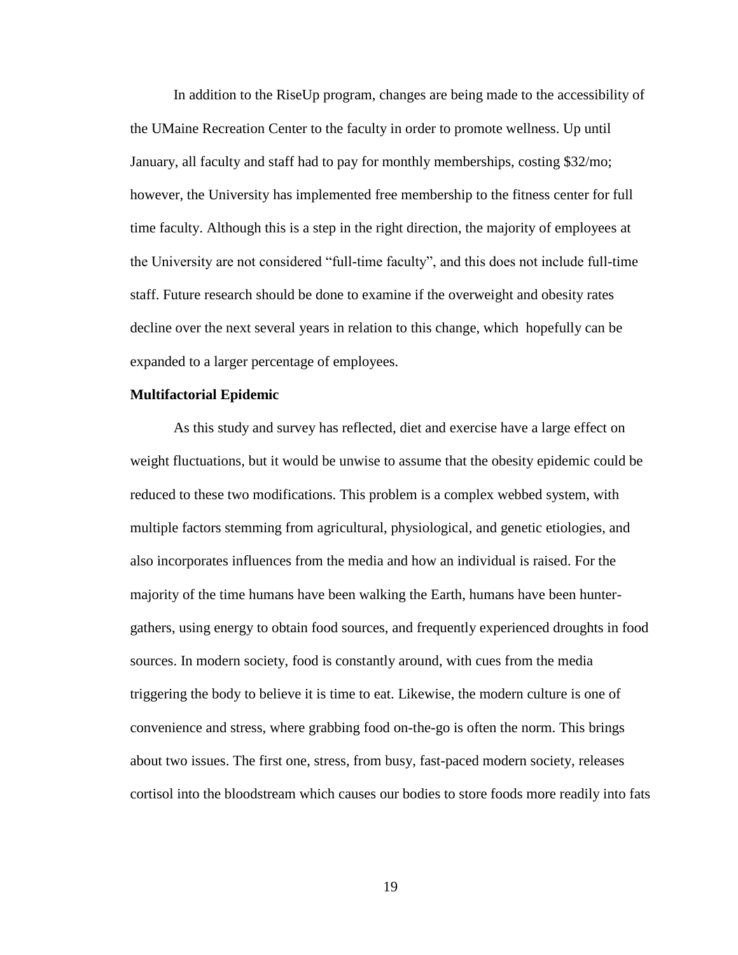In addition to the RiseUp program, changes are being made to the accessibility of the UMaine Recreation Center to the faculty in order to promote wellness. Up until January, all faculty and staff had to pay for monthly memberships, costing \$32/mo; however, the University has implemented free membership to the fitness center for full time faculty. Although this is a step in the right direction, the majority of employees at the University are not considered "full-time faculty", and this does not include full-time staff. Future research should be done to examine if the overweight and obesity rates decline over the next several years in relation to this change, which hopefully can be expanded to a larger percentage of employees.

#### <span id="page-23-0"></span>**Multifactorial Epidemic**

As this study and survey has reflected, diet and exercise have a large effect on weight fluctuations, but it would be unwise to assume that the obesity epidemic could be reduced to these two modifications. This problem is a complex webbed system, with multiple factors stemming from agricultural, physiological, and genetic etiologies, and also incorporates influences from the media and how an individual is raised. For the majority of the time humans have been walking the Earth, humans have been huntergathers, using energy to obtain food sources, and frequently experienced droughts in food sources. In modern society, food is constantly around, with cues from the media triggering the body to believe it is time to eat. Likewise, the modern culture is one of convenience and stress, where grabbing food on-the-go is often the norm. This brings about two issues. The first one, stress, from busy, fast-paced modern society, releases cortisol into the bloodstream which causes our bodies to store foods more readily into fats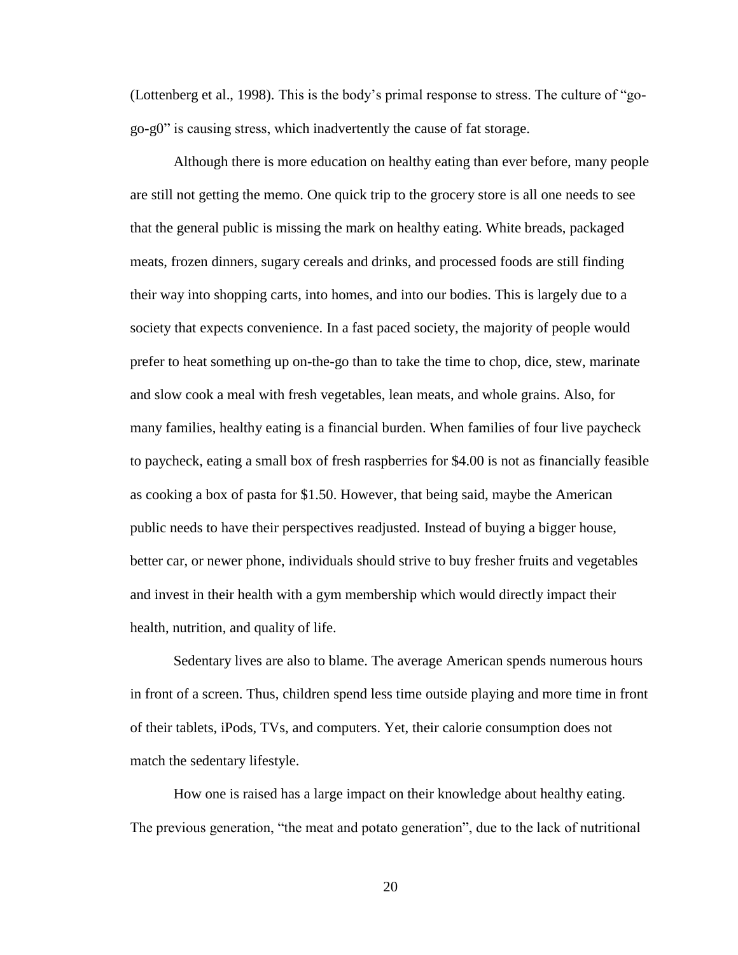(Lottenberg et al., 1998). This is the body's primal response to stress. The culture of "gogo-g0" is causing stress, which inadvertently the cause of fat storage.

Although there is more education on healthy eating than ever before, many people are still not getting the memo. One quick trip to the grocery store is all one needs to see that the general public is missing the mark on healthy eating. White breads, packaged meats, frozen dinners, sugary cereals and drinks, and processed foods are still finding their way into shopping carts, into homes, and into our bodies. This is largely due to a society that expects convenience. In a fast paced society, the majority of people would prefer to heat something up on-the-go than to take the time to chop, dice, stew, marinate and slow cook a meal with fresh vegetables, lean meats, and whole grains. Also, for many families, healthy eating is a financial burden. When families of four live paycheck to paycheck, eating a small box of fresh raspberries for \$4.00 is not as financially feasible as cooking a box of pasta for \$1.50. However, that being said, maybe the American public needs to have their perspectives readjusted. Instead of buying a bigger house, better car, or newer phone, individuals should strive to buy fresher fruits and vegetables and invest in their health with a gym membership which would directly impact their health, nutrition, and quality of life.

Sedentary lives are also to blame. The average American spends numerous hours in front of a screen. Thus, children spend less time outside playing and more time in front of their tablets, iPods, TVs, and computers. Yet, their calorie consumption does not match the sedentary lifestyle.

How one is raised has a large impact on their knowledge about healthy eating. The previous generation, "the meat and potato generation", due to the lack of nutritional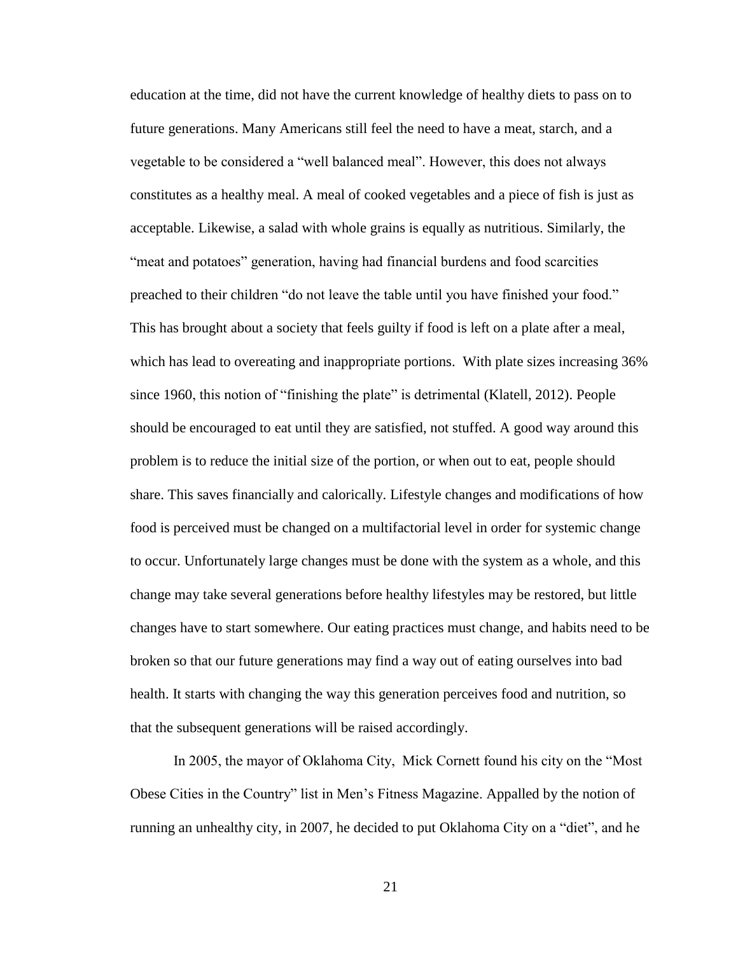education at the time, did not have the current knowledge of healthy diets to pass on to future generations. Many Americans still feel the need to have a meat, starch, and a vegetable to be considered a "well balanced meal". However, this does not always constitutes as a healthy meal. A meal of cooked vegetables and a piece of fish is just as acceptable. Likewise, a salad with whole grains is equally as nutritious. Similarly, the "meat and potatoes" generation, having had financial burdens and food scarcities preached to their children "do not leave the table until you have finished your food." This has brought about a society that feels guilty if food is left on a plate after a meal, which has lead to overeating and inappropriate portions. With plate sizes increasing 36% since 1960, this notion of "finishing the plate" is detrimental (Klatell, 2012). People should be encouraged to eat until they are satisfied, not stuffed. A good way around this problem is to reduce the initial size of the portion, or when out to eat, people should share. This saves financially and calorically. Lifestyle changes and modifications of how food is perceived must be changed on a multifactorial level in order for systemic change to occur. Unfortunately large changes must be done with the system as a whole, and this change may take several generations before healthy lifestyles may be restored, but little changes have to start somewhere. Our eating practices must change, and habits need to be broken so that our future generations may find a way out of eating ourselves into bad health. It starts with changing the way this generation perceives food and nutrition, so that the subsequent generations will be raised accordingly.

In 2005, the mayor of Oklahoma City, Mick Cornett found his city on the "Most Obese Cities in the Country" list in Men's Fitness Magazine. Appalled by the notion of running an unhealthy city, in 2007, he decided to put Oklahoma City on a "diet", and he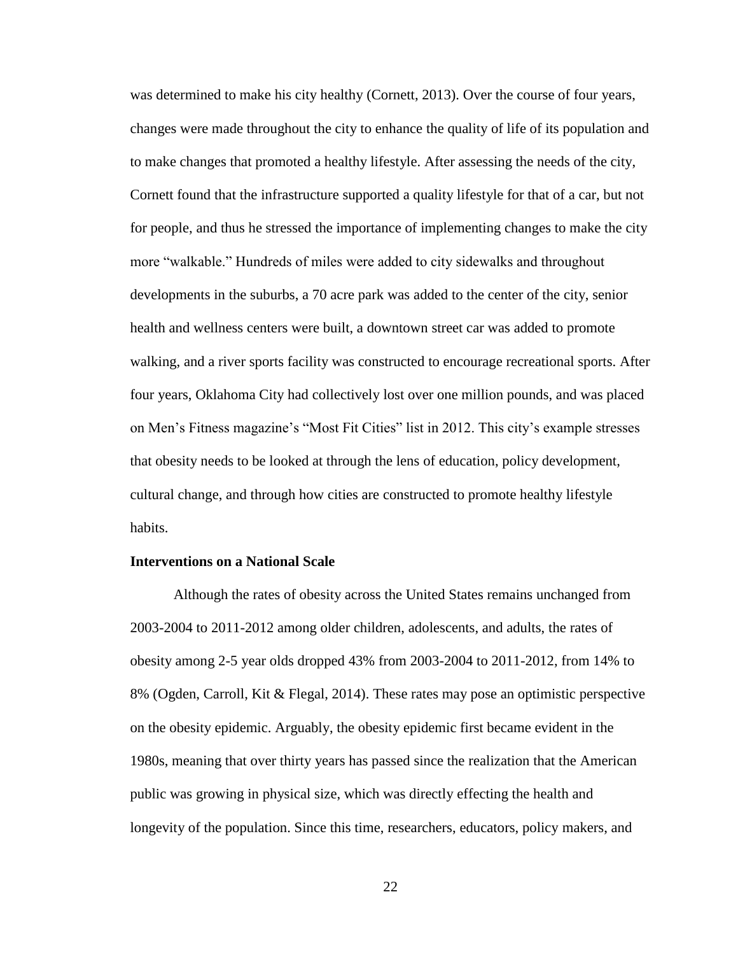was determined to make his city healthy (Cornett, 2013). Over the course of four years, changes were made throughout the city to enhance the quality of life of its population and to make changes that promoted a healthy lifestyle. After assessing the needs of the city, Cornett found that the infrastructure supported a quality lifestyle for that of a car, but not for people, and thus he stressed the importance of implementing changes to make the city more "walkable." Hundreds of miles were added to city sidewalks and throughout developments in the suburbs, a 70 acre park was added to the center of the city, senior health and wellness centers were built, a downtown street car was added to promote walking, and a river sports facility was constructed to encourage recreational sports. After four years, Oklahoma City had collectively lost over one million pounds, and was placed on Men's Fitness magazine's "Most Fit Cities" list in 2012. This city's example stresses that obesity needs to be looked at through the lens of education, policy development, cultural change, and through how cities are constructed to promote healthy lifestyle habits.

#### <span id="page-26-0"></span>**Interventions on a National Scale**

Although the rates of obesity across the United States remains unchanged from 2003-2004 to 2011-2012 among older children, adolescents, and adults, the rates of obesity among 2-5 year olds dropped 43% from 2003-2004 to 2011-2012, from 14% to 8% (Ogden, Carroll, Kit & Flegal, 2014). These rates may pose an optimistic perspective on the obesity epidemic. Arguably, the obesity epidemic first became evident in the 1980s, meaning that over thirty years has passed since the realization that the American public was growing in physical size, which was directly effecting the health and longevity of the population. Since this time, researchers, educators, policy makers, and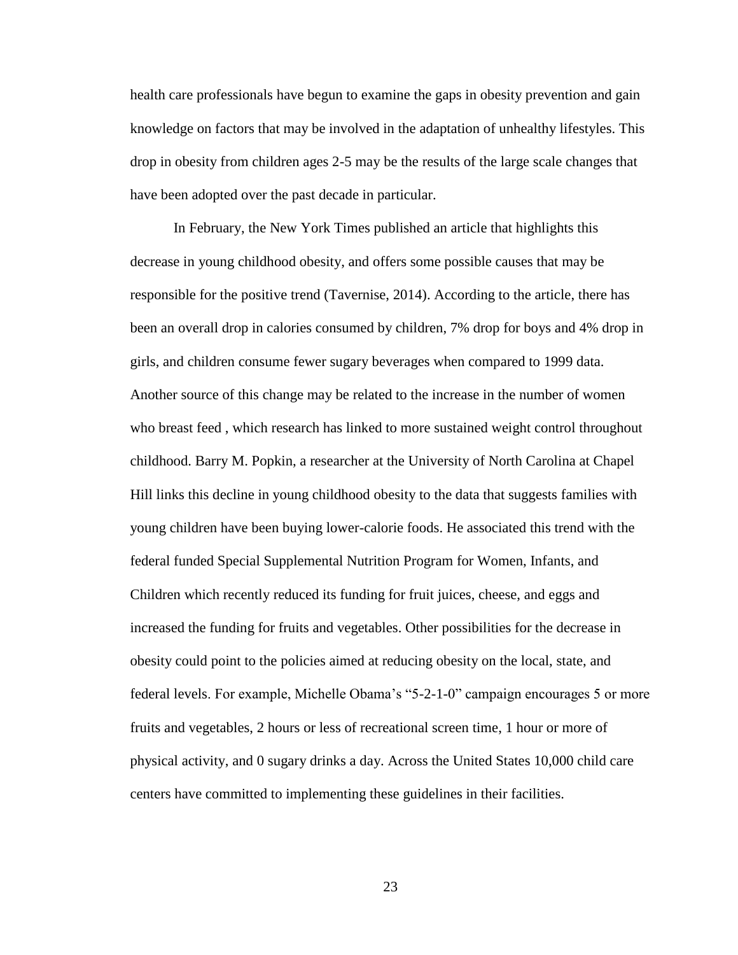health care professionals have begun to examine the gaps in obesity prevention and gain knowledge on factors that may be involved in the adaptation of unhealthy lifestyles. This drop in obesity from children ages 2-5 may be the results of the large scale changes that have been adopted over the past decade in particular.

In February, the New York Times published an article that highlights this decrease in young childhood obesity, and offers some possible causes that may be responsible for the positive trend (Tavernise, 2014). According to the article, there has been an overall drop in calories consumed by children, 7% drop for boys and 4% drop in girls, and children consume fewer sugary beverages when compared to 1999 data. Another source of this change may be related to the increase in the number of women who breast feed , which research has linked to more sustained weight control throughout childhood. Barry M. Popkin, a researcher at the University of North Carolina at Chapel Hill links this decline in young childhood obesity to the data that suggests families with young children have been buying lower-calorie foods. He associated this trend with the federal funded Special Supplemental Nutrition Program for Women, Infants, and Children which recently reduced its funding for fruit juices, cheese, and eggs and increased the funding for fruits and vegetables. Other possibilities for the decrease in obesity could point to the policies aimed at reducing obesity on the local, state, and federal levels. For example, Michelle Obama's "5-2-1-0" campaign encourages 5 or more fruits and vegetables, 2 hours or less of recreational screen time, 1 hour or more of physical activity, and 0 sugary drinks a day. Across the United States 10,000 child care centers have committed to implementing these guidelines in their facilities.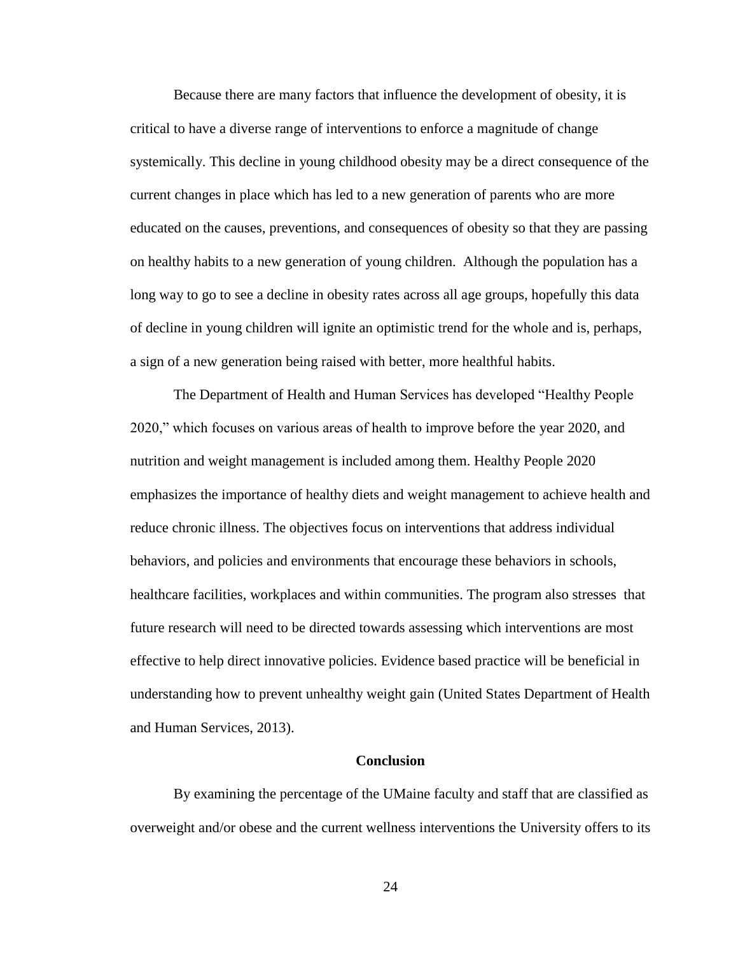Because there are many factors that influence the development of obesity, it is critical to have a diverse range of interventions to enforce a magnitude of change systemically. This decline in young childhood obesity may be a direct consequence of the current changes in place which has led to a new generation of parents who are more educated on the causes, preventions, and consequences of obesity so that they are passing on healthy habits to a new generation of young children. Although the population has a long way to go to see a decline in obesity rates across all age groups, hopefully this data of decline in young children will ignite an optimistic trend for the whole and is, perhaps, a sign of a new generation being raised with better, more healthful habits.

The Department of Health and Human Services has developed "Healthy People 2020," which focuses on various areas of health to improve before the year 2020, and nutrition and weight management is included among them. Healthy People 2020 emphasizes the importance of healthy diets and weight management to achieve health and reduce chronic illness. The objectives focus on interventions that address individual behaviors, and policies and environments that encourage these behaviors in schools, healthcare facilities, workplaces and within communities. The program also stresses that future research will need to be directed towards assessing which interventions are most effective to help direct innovative policies. Evidence based practice will be beneficial in understanding how to prevent unhealthy weight gain (United States Department of Health and Human Services, 2013).

#### **Conclusion**

<span id="page-28-0"></span>By examining the percentage of the UMaine faculty and staff that are classified as overweight and/or obese and the current wellness interventions the University offers to its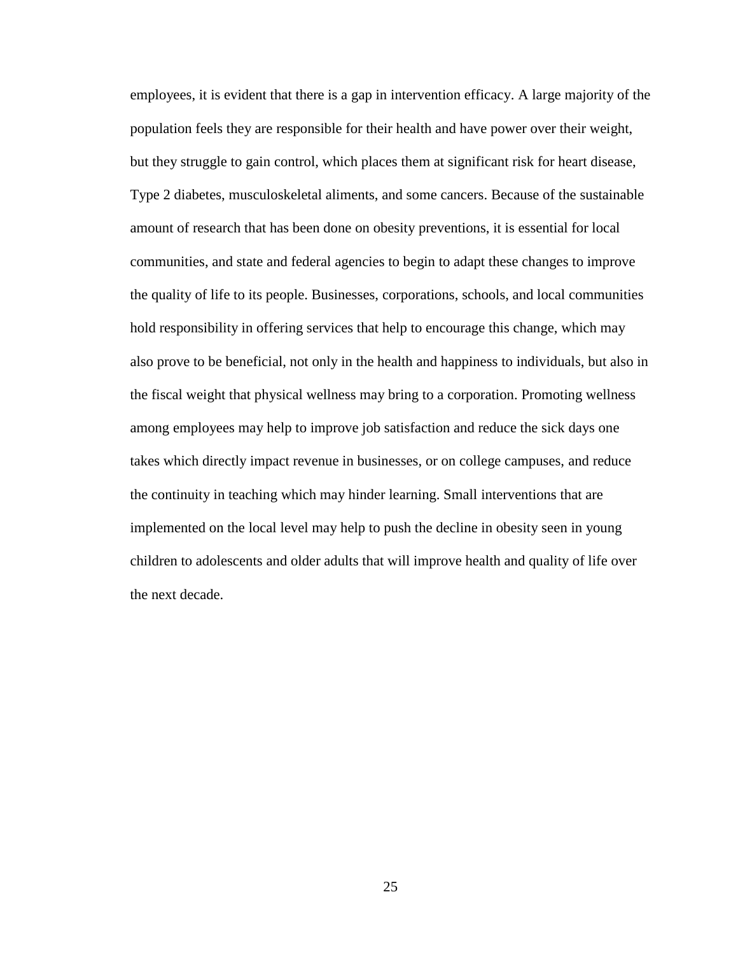employees, it is evident that there is a gap in intervention efficacy. A large majority of the population feels they are responsible for their health and have power over their weight, but they struggle to gain control, which places them at significant risk for heart disease, Type 2 diabetes, musculoskeletal aliments, and some cancers. Because of the sustainable amount of research that has been done on obesity preventions, it is essential for local communities, and state and federal agencies to begin to adapt these changes to improve the quality of life to its people. Businesses, corporations, schools, and local communities hold responsibility in offering services that help to encourage this change, which may also prove to be beneficial, not only in the health and happiness to individuals, but also in the fiscal weight that physical wellness may bring to a corporation. Promoting wellness among employees may help to improve job satisfaction and reduce the sick days one takes which directly impact revenue in businesses, or on college campuses, and reduce the continuity in teaching which may hinder learning. Small interventions that are implemented on the local level may help to push the decline in obesity seen in young children to adolescents and older adults that will improve health and quality of life over the next decade.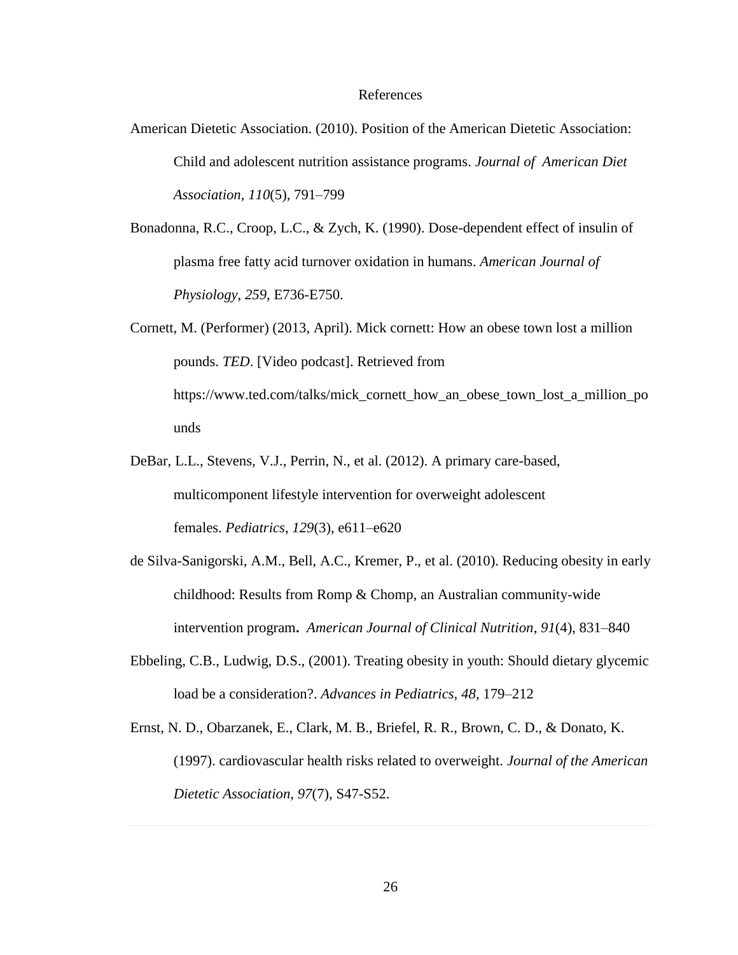#### References

- <span id="page-30-0"></span>American Dietetic Association. (2010). Position of the American Dietetic Association: Child and adolescent nutrition assistance programs. *Journal of American Diet Association*, *110*(5), 791–799
- Bonadonna, R.C., Croop, L.C., & Zych, K. (1990). Dose-dependent effect of insulin of plasma free fatty acid turnover oxidation in humans. *American Journal of Physiology*, *259*, E736-E750.
- Cornett, M. (Performer) (2013, April). Mick cornett: How an obese town lost a million pounds. *TED*. [Video podcast]. Retrieved from https://www.ted.com/talks/mick\_cornett\_how\_an\_obese\_town\_lost\_a\_million\_po unds
- DeBar, L.L., Stevens, V.J., Perrin, N., et al. (2012). A primary care-based, multicomponent lifestyle intervention for overweight adolescent females. *Pediatrics*, *129*(3), e611–e620
- de Silva-Sanigorski, A.M., Bell, A.C., Kremer, P., et al. (2010). Reducing obesity in early childhood: Results from Romp & Chomp, an Australian community-wide intervention program**.** *American Journal of Clinical Nutrition*, *91*(4), 831–840
- Ebbeling, C.B., Ludwig, D.S., (2001). Treating obesity in youth: Should dietary glycemic load be a consideration?. *Advances in Pediatrics, 48,* 179–212
- Ernst, N. D., Obarzanek, E., Clark, M. B., Briefel, R. R., Brown, C. D., & Donato, K. (1997). cardiovascular health risks related to overweight. *Journal of the American Dietetic Association*, *97*(7), S47-S52.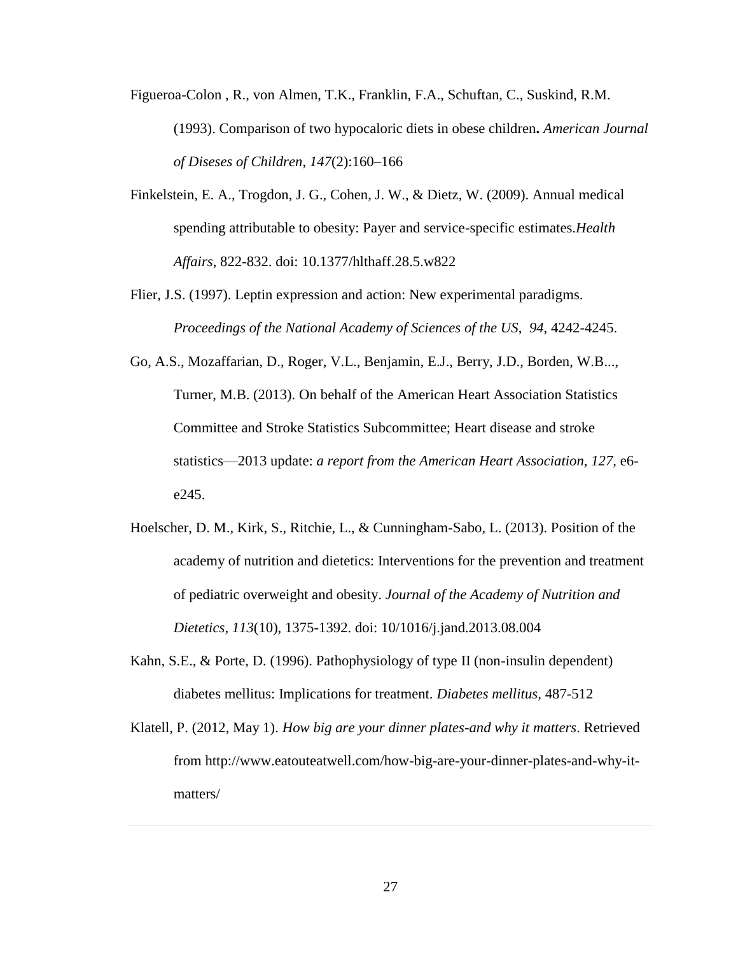- Figueroa-Colon , R., von Almen, T.K., Franklin, F.A., Schuftan, C., Suskind, R.M. (1993). Comparison of two hypocaloric diets in obese children**.** *American Journal of Diseses of Children*, *147*(2):160–166
- Finkelstein, E. A., Trogdon, J. G., Cohen, J. W., & Dietz, W. (2009). Annual medical spending attributable to obesity: Payer and service-specific estimates.*Health Affairs*, 822-832. doi: 10.1377/hlthaff.28.5.w822
- Flier, J.S. (1997). Leptin expression and action: New experimental paradigms. *Proceedings of the National Academy of Sciences of the US*, *94*, 4242-4245.
- Go, A.S., Mozaffarian, D., Roger, V.L., Benjamin, E.J., Berry, J.D., Borden, W.B..., Turner, M.B. (2013). On behalf of the American Heart Association Statistics Committee and Stroke Statistics Subcommittee; Heart disease and stroke statistics—2013 update: *a report from the American Heart Association, 127,* e6 e245.
- Hoelscher, D. M., Kirk, S., Ritchie, L., & Cunningham-Sabo, L. (2013). Position of the academy of nutrition and dietetics: Interventions for the prevention and treatment of pediatric overweight and obesity. *Journal of the Academy of Nutrition and Dietetics*, *113*(10), 1375-1392. doi: 10/1016/j.jand.2013.08.004
- Kahn, S.E., & Porte, D. (1996). Pathophysiology of type II (non-insulin dependent) diabetes mellitus: Implications for treatment*. Diabetes mellitus,* 487-512
- Klatell, P. (2012, May 1). *How big are your dinner plates-and why it matters*. Retrieved from http://www.eatouteatwell.com/how-big-are-your-dinner-plates-and-why-itmatters/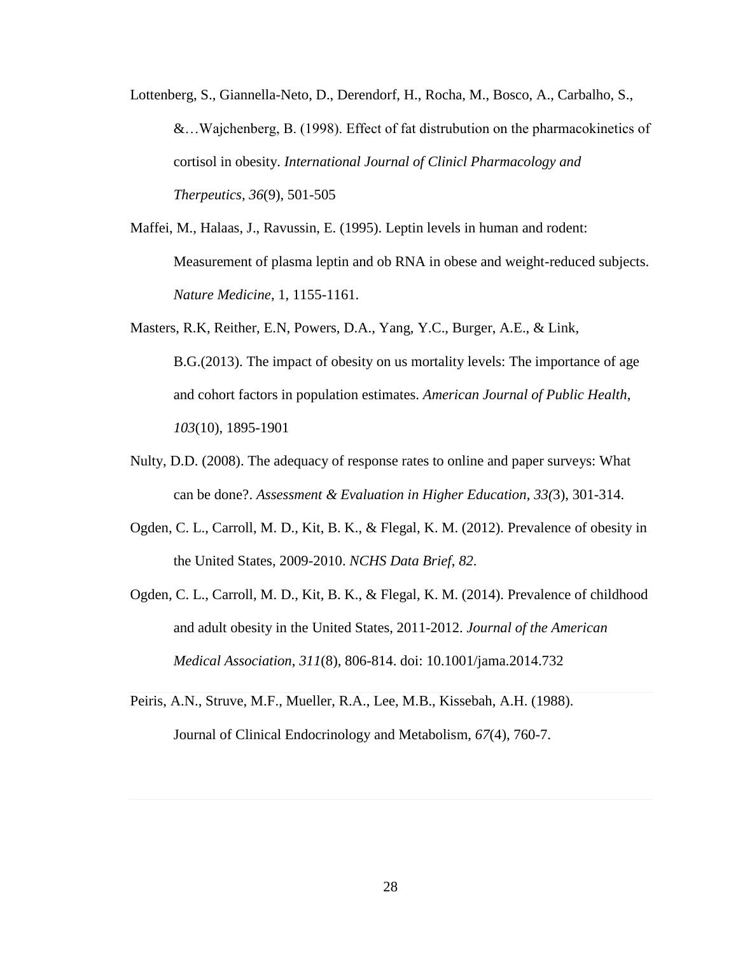- Lottenberg, S., Giannella-Neto, D., Derendorf, H., Rocha, M., Bosco, A., Carbalho, S., &…Wajchenberg, B. (1998). Effect of fat distrubution on the pharmacokinetics of cortisol in obesity. *International Journal of Clinicl Pharmacology and Therpeutics, 36*(9), 501-505
- Maffei, M., Halaas, J., Ravussin, E. (1995). Leptin levels in human and rodent: Measurement of plasma leptin and ob RNA in obese and weight-reduced subjects. *Nature Medicine*, 1, 1155-1161.
- Masters, R.K, Reither, E.N, Powers, D.A., Yang, Y.C., Burger, A.E., & Link, B.G.(2013). The impact of obesity on us mortality levels: The importance of age and cohort factors in population estimates. *American Journal of Public Health*, *103*(10), 1895-1901
- Nulty, D.D. (2008). The adequacy of response rates to online and paper surveys: What can be done?. *Assessment & Evaluation in Higher Education*, *33(*3), 301-314.
- Ogden, C. L., Carroll, M. D., Kit, B. K., & Flegal, K. M. (2012). Prevalence of obesity in the United States, 2009-2010. *NCHS Data Brief*, *82*.
- Ogden, C. L., Carroll, M. D., Kit, B. K., & Flegal, K. M. (2014). Prevalence of childhood and adult obesity in the United States, 2011-2012. *Journal of the American Medical Association*, *311*(8), 806-814. doi: 10.1001/jama.2014.732
- Peiris, A.N., Struve, M.F., Mueller, R.A., Lee, M.B., Kissebah, A.H. (1988). Journal of Clinical Endocrinology and Metabolism, *67*(4), 760-7.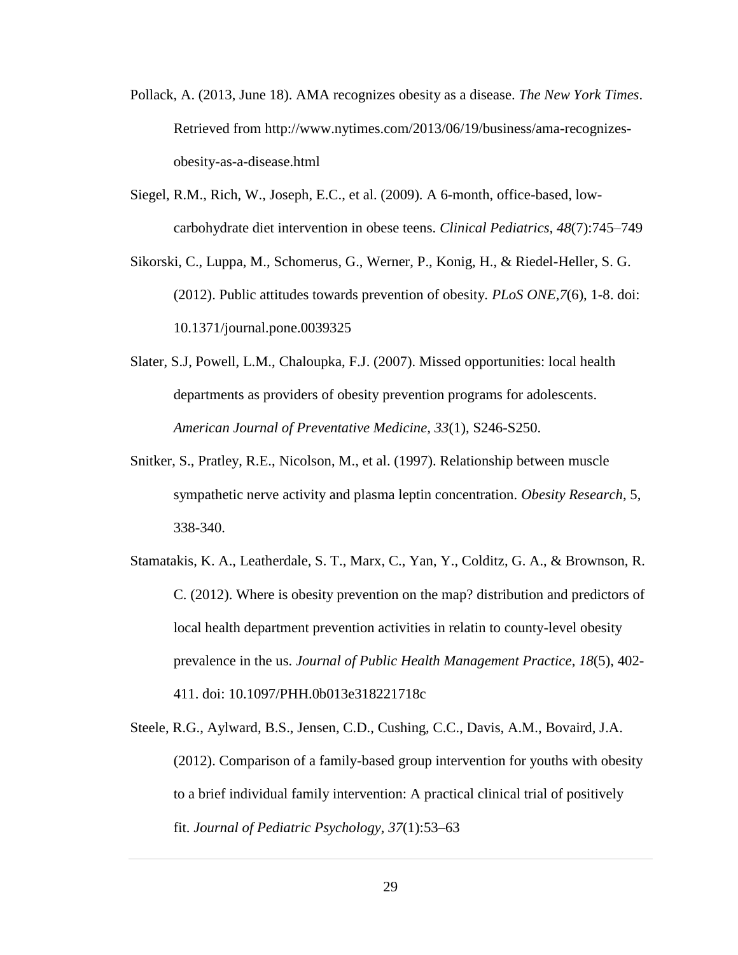- Pollack, A. (2013, June 18). AMA recognizes obesity as a disease. *The New York Times*. Retrieved from http://www.nytimes.com/2013/06/19/business/ama-recognizesobesity-as-a-disease.html
- Siegel, R.M., Rich, W., Joseph, E.C., et al. (2009). A 6-month, office-based, lowcarbohydrate diet intervention in obese teens. *Clinical Pediatrics, 48*(7):745–749
- Sikorski, C., Luppa, M., Schomerus, G., Werner, P., Konig, H., & Riedel-Heller, S. G. (2012). Public attitudes towards prevention of obesity. *PLoS ONE*,*7*(6), 1-8. doi: 10.1371/journal.pone.0039325
- Slater, S.J, Powell, L.M., Chaloupka, F.J. (2007). Missed opportunities: local health departments as providers of obesity prevention programs for adolescents. *American Journal of Preventative Medicine, 33*(1), S246-S250.
- Snitker, S., Pratley, R.E., Nicolson, M., et al. (1997). Relationship between muscle sympathetic nerve activity and plasma leptin concentration. *Obesity Research*, 5, 338-340.
- Stamatakis, K. A., Leatherdale, S. T., Marx, C., Yan, Y., Colditz, G. A., & Brownson, R. C. (2012). Where is obesity prevention on the map? distribution and predictors of local health department prevention activities in relatin to county-level obesity prevalence in the us. *Journal of Public Health Management Practice*, *18*(5), 402- 411. doi: 10.1097/PHH.0b013e318221718c
- Steele, R.G., Aylward, B.S., Jensen, C.D., Cushing, C.C., Davis, A.M., Bovaird, J.A. (2012). Comparison of a family-based group intervention for youths with obesity to a brief individual family intervention: A practical clinical trial of positively fit. *Journal of Pediatric Psychology, 37*(1):53–63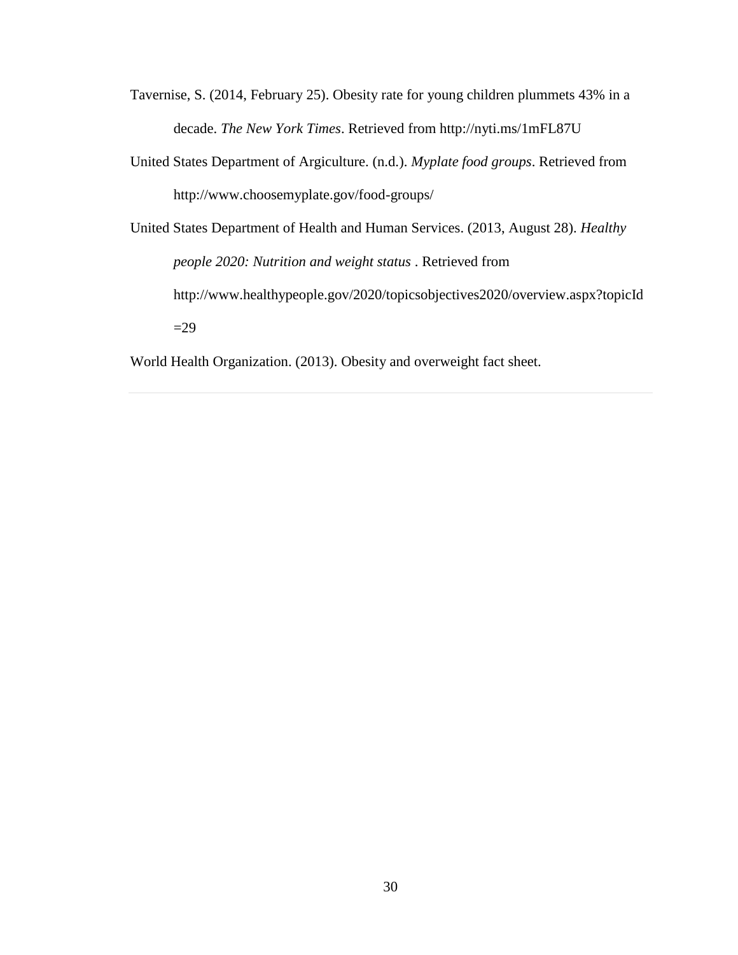- Tavernise, S. (2014, February 25). Obesity rate for young children plummets 43% in a decade. *The New York Times*. Retrieved from http://nyti.ms/1mFL87U
- United States Department of Argiculture. (n.d.). *Myplate food groups*. Retrieved from http://www.choosemyplate.gov/food-groups/
- United States Department of Health and Human Services. (2013, August 28). *Healthy people 2020: Nutrition and weight status* . Retrieved from http://www.healthypeople.gov/2020/topicsobjectives2020/overview.aspx?topicId  $=29$

World Health Organization. (2013). Obesity and overweight fact sheet.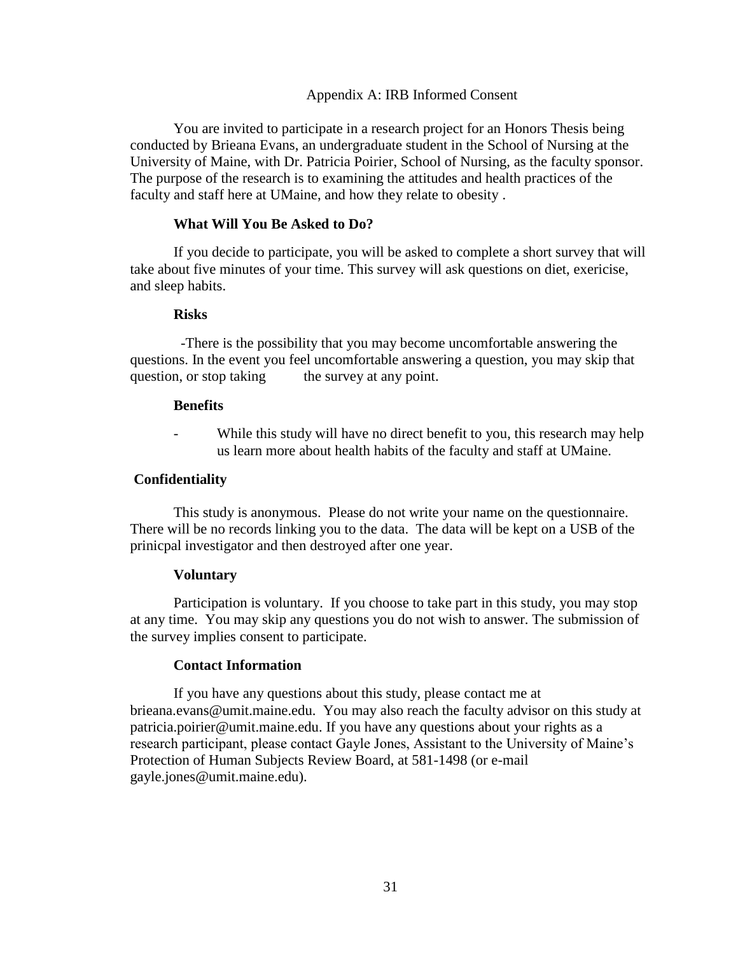## Appendix A: IRB Informed Consent

<span id="page-35-0"></span>You are invited to participate in a research project for an Honors Thesis being conducted by Brieana Evans, an undergraduate student in the School of Nursing at the University of Maine, with Dr. Patricia Poirier, School of Nursing, as the faculty sponsor. The purpose of the research is to examining the attitudes and health practices of the faculty and staff here at UMaine, and how they relate to obesity .

## **What Will You Be Asked to Do?**

If you decide to participate, you will be asked to complete a short survey that will take about five minutes of your time. This survey will ask questions on diet, exericise, and sleep habits.

## **Risks**

 -There is the possibility that you may become uncomfortable answering the questions. In the event you feel uncomfortable answering a question, you may skip that question, or stop taking the survey at any point.

## **Benefits**

While this study will have no direct benefit to you, this research may help us learn more about health habits of the faculty and staff at UMaine.

## **Confidentiality**

This study is anonymous. Please do not write your name on the questionnaire. There will be no records linking you to the data. The data will be kept on a USB of the prinicpal investigator and then destroyed after one year.

## **Voluntary**

Participation is voluntary. If you choose to take part in this study, you may stop at any time. You may skip any questions you do not wish to answer. The submission of the survey implies consent to participate.

## **Contact Information**

If you have any questions about this study, please contact me at brieana.evans@umit.maine.edu. You may also reach the faculty advisor on this study at patricia.poirier@umit.maine.edu. If you have any questions about your rights as a research participant, please contact Gayle Jones, Assistant to the University of Maine's Protection of Human Subjects Review Board, at 581-1498 (or e-mail gayle.jones@umit.maine.edu).